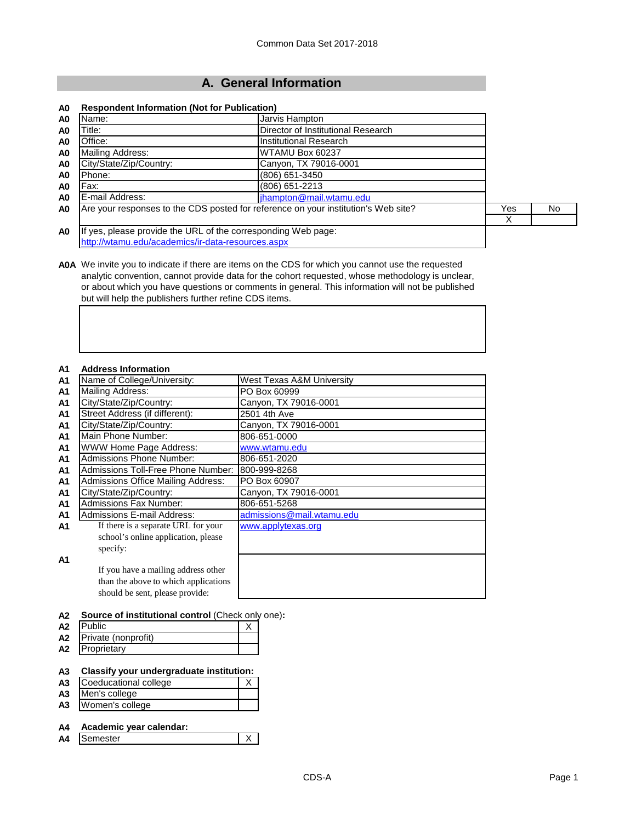# **A. General Information**

## **A0 Respondent Information (Not for Publication)**

| A <sub>0</sub> | Name:                                                                              | Jarvis Hampton                     |     |     |
|----------------|------------------------------------------------------------------------------------|------------------------------------|-----|-----|
| A <sub>0</sub> | Title:                                                                             | Director of Institutional Research |     |     |
| A <sub>0</sub> | Office:                                                                            | Institutional Research             |     |     |
| A <sub>0</sub> | <b>Mailing Address:</b>                                                            | WTAMU Box 60237                    |     |     |
| A <sub>0</sub> | City/State/Zip/Country:                                                            |                                    |     |     |
| A <sub>0</sub> | Phone:                                                                             | (806) 651-3450                     |     |     |
| A <sub>0</sub> | Fax:                                                                               | (806) 651-2213                     |     |     |
| A <sub>0</sub> | E-mail Address:                                                                    | jhampton@mail.wtamu.edu            |     |     |
| A <sub>0</sub> | Are your responses to the CDS posted for reference on your institution's Web site? |                                    | Yes | No. |
|                |                                                                                    |                                    | Х   |     |
| A <sub>0</sub> | If yes, please provide the URL of the corresponding Web page:                      |                                    |     |     |
|                | http://wtamu.edu/academics/ir-data-resources.aspx                                  |                                    |     |     |

**A0A** We invite you to indicate if there are items on the CDS for which you cannot use the requested analytic convention, cannot provide data for the cohort requested, whose methodology is unclear, or about which you have questions or comments in general. This information will not be published but will help the publishers further refine CDS items.

#### **A1 Address Information**

## **A2 Source of institutional control** (Check only one)**:**

| A2 | <b>IPublic</b>      |  |
|----|---------------------|--|
| A2 | Private (nonprofit) |  |
| A2 | Proprietary         |  |

# **A3 Classify your undergraduate institution:**

- **Coeducational college**
- A3 Men's college<br> **A3** Women's colle
- **A3** Women's college

# **A4 Academic year calendar:**

**A4** Semester X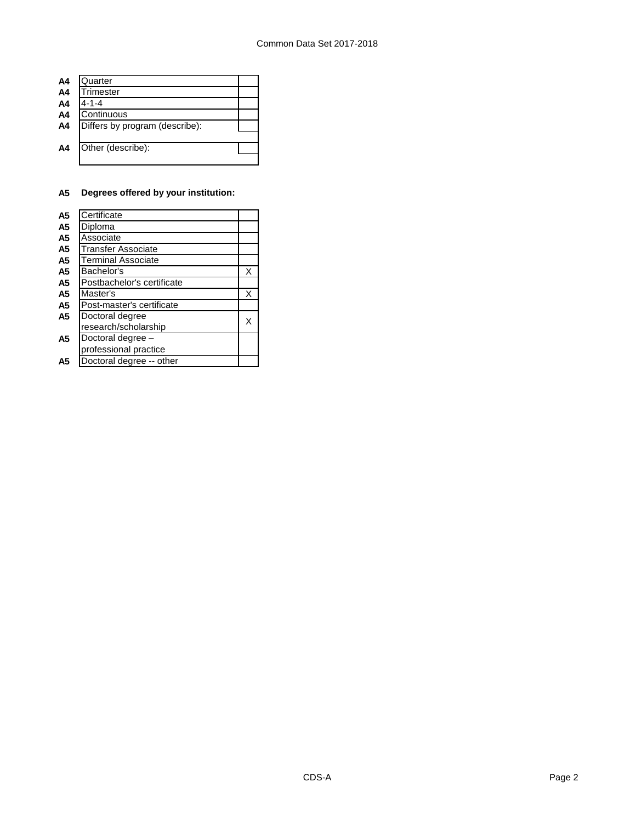| A <sub>4</sub> | Quarter                        |  |
|----------------|--------------------------------|--|
| A <sub>4</sub> | Trimester                      |  |
| A4             | $4 - 1 - 4$                    |  |
| A <sub>4</sub> | Continuous                     |  |
| A4             | Differs by program (describe): |  |
|                |                                |  |
| A <sub>4</sub> | Other (describe):              |  |
|                |                                |  |

# **A5 Degrees offered by your institution:**

| A <sub>5</sub> | Certificate                |   |
|----------------|----------------------------|---|
| A5             | Diploma                    |   |
| A5             | Associate                  |   |
| A <sub>5</sub> | <b>Transfer Associate</b>  |   |
| А5             | <b>Terminal Associate</b>  |   |
| A5             | Bachelor's                 | X |
| A5             | Postbachelor's certificate |   |
| A5             | Master's                   | X |
| A5             | Post-master's certificate  |   |
| A5             | Doctoral degree            |   |
|                | research/scholarship       |   |
| А5             | Doctoral degree -          |   |
|                | professional practice      |   |
| A5             | Doctoral degree -- other   |   |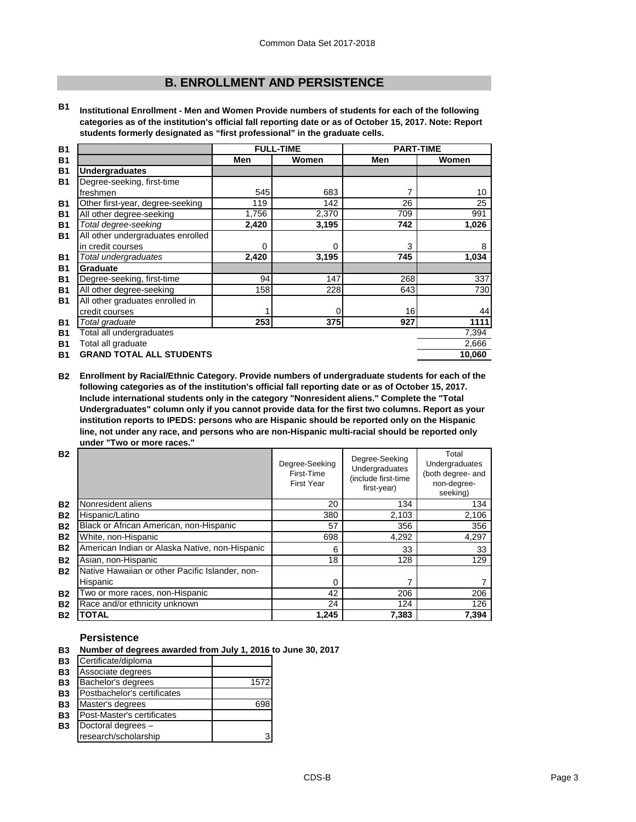# **B. ENROLLMENT AND PERSISTENCE**

**B1 Institutional Enrollment - Men and Women Provide numbers of students for each of the following categories as of the institution's official fall reporting date or as of October 15, 2017. Note: Report students formerly designated as "first professional" in the graduate cells.**

| <b>B1</b> |                                   | <b>FULL-TIME</b> |       | <b>PART-TIME</b> |        |
|-----------|-----------------------------------|------------------|-------|------------------|--------|
| <b>B1</b> |                                   | Men              | Women | Men              | Women  |
| <b>B1</b> | <b>Undergraduates</b>             |                  |       |                  |        |
| <b>B1</b> | Degree-seeking, first-time        |                  |       |                  |        |
|           | freshmen                          | 545              | 683   |                  | 10     |
| B1        | Other first-year, degree-seeking  | 119              | 142   | 26               | 25     |
| <b>B1</b> | All other degree-seeking          | 1,756            | 2,370 | 709              | 991    |
| <b>B1</b> | Total degree-seeking              | 2,420            | 3,195 | 742              | 1,026  |
| <b>B1</b> | All other undergraduates enrolled |                  |       |                  |        |
|           | in credit courses                 | 0                | 0     | 3                | 8      |
| <b>B1</b> | Total undergraduates              | 2,420            | 3,195 | 745              | 1,034  |
| <b>B1</b> | <b>Graduate</b>                   |                  |       |                  |        |
| <b>B1</b> | Degree-seeking, first-time        | 94               | 147   | 268              | 337    |
| <b>B1</b> | All other degree-seeking          | 158              | 228   | 643              | 730    |
| <b>B1</b> | All other graduates enrolled in   |                  |       |                  |        |
|           | credit courses                    |                  | 0     | 16               | 44     |
| <b>B1</b> | Total graduate                    | 253              | 375   | 927              | 1111   |
| <b>B1</b> | Total all undergraduates          |                  |       |                  | 7,394  |
| <b>B1</b> | Total all graduate                |                  |       |                  | 2,666  |
| <b>B1</b> | <b>GRAND TOTAL ALL STUDENTS</b>   |                  |       |                  | 10,060 |

**B2 Enrollment by Racial/Ethnic Category. Provide numbers of undergraduate students for each of the following categories as of the institution's official fall reporting date or as of October 15, 2017. Include international students only in the category "Nonresident aliens." Complete the "Total Undergraduates" column only if you cannot provide data for the first two columns. Report as your institution reports to IPEDS: persons who are Hispanic should be reported only on the Hispanic line, not under any race, and persons who are non-Hispanic multi-racial should be reported only under "Two or more races."** 

| <b>B2</b> |                                                 | Degree-Seeking<br>First-Time<br><b>First Year</b> | Degree-Seeking<br>Undergraduates<br>(include first-time<br>first-year) | Total<br>Undergraduates<br>(both degree- and<br>non-degree-<br>seeking) |
|-----------|-------------------------------------------------|---------------------------------------------------|------------------------------------------------------------------------|-------------------------------------------------------------------------|
| <b>B2</b> | Nonresident aliens                              | 20                                                | 134                                                                    | 134                                                                     |
| <b>B2</b> | Hispanic/Latino                                 | 380                                               | 2,103                                                                  | 2,106                                                                   |
| <b>B2</b> | Black or African American, non-Hispanic         | 57                                                | 356                                                                    | 356                                                                     |
| <b>B2</b> | White, non-Hispanic                             | 698                                               | 4,292                                                                  | 4,297                                                                   |
| <b>B2</b> | American Indian or Alaska Native, non-Hispanic  | 6                                                 | 33                                                                     | 33                                                                      |
| <b>B2</b> | Asian, non-Hispanic                             | 18                                                | 128                                                                    | 129                                                                     |
| <b>B2</b> | Native Hawaiian or other Pacific Islander, non- |                                                   |                                                                        |                                                                         |
|           | Hispanic                                        | 0                                                 |                                                                        |                                                                         |
| <b>B2</b> | Two or more races, non-Hispanic                 | 42                                                | 206                                                                    | 206                                                                     |
| <b>B2</b> | Race and/or ethnicity unknown                   | 24                                                | 124                                                                    | 126                                                                     |
| <b>B2</b> | <b>TOTAL</b>                                    | 1,245                                             | 7,383                                                                  | 7,394                                                                   |

#### **Persistence**

- **B3 Number of degrees awarded from July 1, 2016 to June 30, 2017**
- **B3** Certificate/diploma
- **B3** Associate degrees
- **B3** Bachelor's degrees 1572
- **B3** Postbachelor's certificates<br>**B3** Master's degrees
- **B3** Master's degrees 698<br> **B3** Post-Master's certificates
- **B3** Post-Master's certificates<br>**B3** Doctoral degrees **B3** Doctoral degrees –
- research/scholarship 3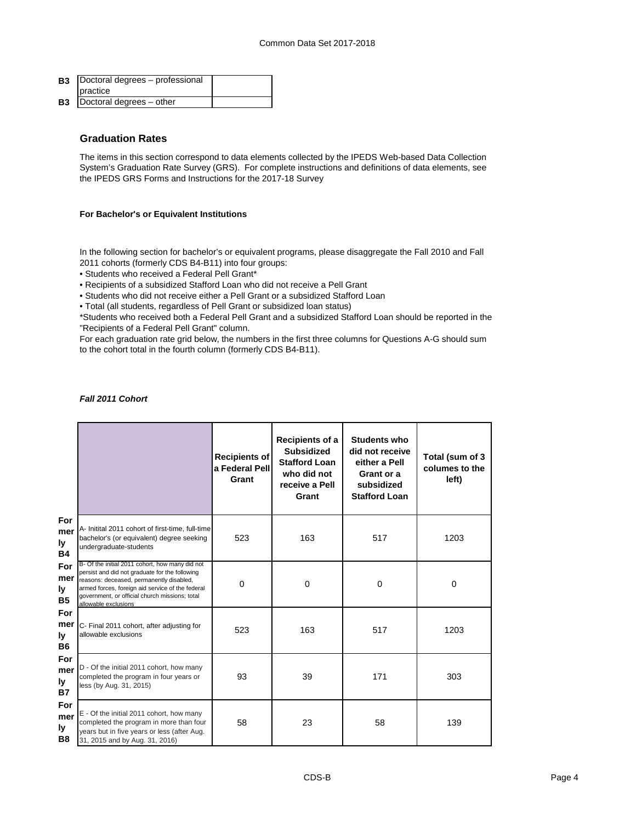| <b>B3</b>   Doctoral degrees – professional |  |
|---------------------------------------------|--|
| practice                                    |  |
| <b>B3</b>   Doctoral degrees - other        |  |

### **Graduation Rates**

The items in this section correspond to data elements collected by the IPEDS Web-based Data Collection System's Graduation Rate Survey (GRS). For complete instructions and definitions of data elements, see the IPEDS GRS Forms and Instructions for the 2017-18 Survey

#### **For Bachelor's or Equivalent Institutions**

In the following section for bachelor's or equivalent programs, please disaggregate the Fall 2010 and Fall 2011 cohorts (formerly CDS B4-B11) into four groups:

- Students who received a Federal Pell Grant\*
- Recipients of a subsidized Stafford Loan who did not receive a Pell Grant
- Students who did not receive either a Pell Grant or a subsidized Stafford Loan
- Total (all students, regardless of Pell Grant or subsidized loan status)

\*Students who received both a Federal Pell Grant and a subsidized Stafford Loan should be reported in the "Recipients of a Federal Pell Grant" column.

For each graduation rate grid below, the numbers in the first three columns for Questions A-G should sum to the cohort total in the fourth column (formerly CDS B4-B11).

|                                |                                                                                                                                                                                                                                                                             | <b>Recipients of</b><br>a Federal Pell<br>Grant | Recipients of a<br><b>Subsidized</b><br><b>Stafford Loan</b><br>who did not<br>receive a Pell<br>Grant | <b>Students who</b><br>did not receive<br>either a Pell<br>Grant or a<br>subsidized<br><b>Stafford Loan</b> | Total (sum of 3<br>columes to the<br>left) |
|--------------------------------|-----------------------------------------------------------------------------------------------------------------------------------------------------------------------------------------------------------------------------------------------------------------------------|-------------------------------------------------|--------------------------------------------------------------------------------------------------------|-------------------------------------------------------------------------------------------------------------|--------------------------------------------|
| For<br>mer<br>ly<br><b>B4</b>  | A- Initital 2011 cohort of first-time, full-time<br>bachelor's (or equivalent) degree seeking<br>undergraduate-students                                                                                                                                                     | 523                                             | 163                                                                                                    | 517                                                                                                         | 1203                                       |
| For<br>mer<br>ly.<br><b>B5</b> | B- Of the initial 2011 cohort, how many did not<br>persist and did not graduate for the following<br>reasons: deceased, permanently disabled,<br>armed forces, foreign aid service of the federal<br>government, or official church missions; total<br>allowable exclusions | $\Omega$                                        | $\Omega$                                                                                               | $\Omega$                                                                                                    | $\mathbf 0$                                |
| For<br>mer<br>Ιv<br>B6         | C- Final 2011 cohort, after adjusting for<br>allowable exclusions                                                                                                                                                                                                           | 523                                             | 163                                                                                                    | 517                                                                                                         | 1203                                       |
| For<br>mer<br>ly<br><b>B7</b>  | D - Of the initial 2011 cohort, how many<br>completed the program in four years or<br>less (by Aug. 31, 2015)                                                                                                                                                               | 93                                              | 39                                                                                                     | 171                                                                                                         | 303                                        |
| For<br>mer<br>ly.<br><b>B8</b> | E - Of the initial 2011 cohort, how many<br>completed the program in more than four<br>years but in five years or less (after Aug.<br>31, 2015 and by Aug. 31, 2016)                                                                                                        | 58                                              | 23                                                                                                     | 58                                                                                                          | 139                                        |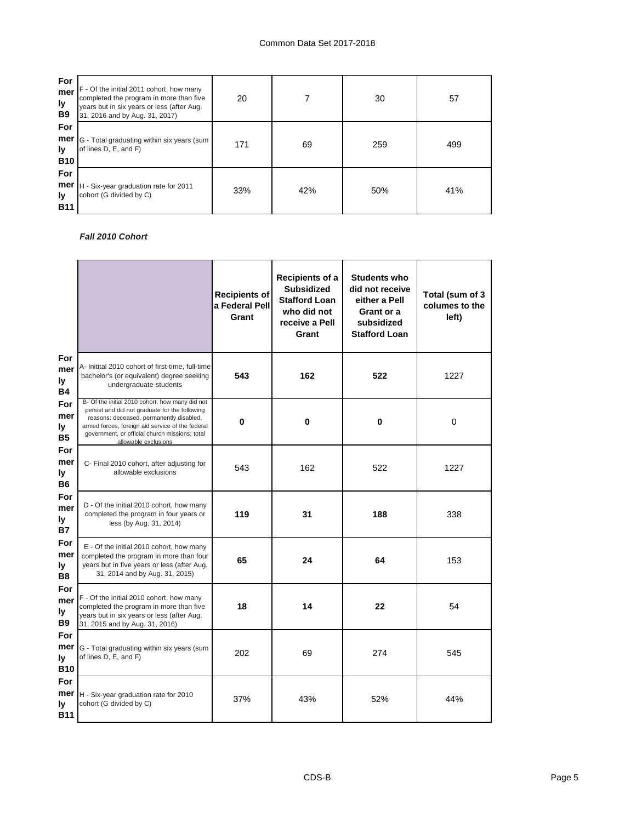| For<br>mer<br>ly<br>B <sub>9</sub> | F - Of the initial 2011 cohort, how many<br>completed the program in more than five<br>years but in six years or less (after Aug.<br>31, 2016 and by Aug. 31, 2017) | 20  |     | 30  | 57  |
|------------------------------------|---------------------------------------------------------------------------------------------------------------------------------------------------------------------|-----|-----|-----|-----|
| For<br>mer<br>ly.<br><b>B10</b>    | G - Total graduating within six years (sum<br>of lines D, E, and F)                                                                                                 | 171 | 69  | 259 | 499 |
| For<br>mer<br>ly<br><b>B11</b>     | H - Six-year graduation rate for 2011<br>cohort (G divided by C)                                                                                                    | 33% | 42% | 50% | 41% |

## *Fall 2010 Cohort*

|                                |                                                                                                                                                                                                                                                                             | <b>Recipients of</b><br>a Federal Pell<br>Grant | Recipients of a<br><b>Subsidized</b><br><b>Stafford Loan</b><br>who did not<br>receive a Pell<br>Grant | <b>Students who</b><br>did not receive<br>either a Pell<br>Grant or a<br>subsidized<br><b>Stafford Loan</b> | Total (sum of 3<br>columes to the<br>left) |
|--------------------------------|-----------------------------------------------------------------------------------------------------------------------------------------------------------------------------------------------------------------------------------------------------------------------------|-------------------------------------------------|--------------------------------------------------------------------------------------------------------|-------------------------------------------------------------------------------------------------------------|--------------------------------------------|
| For<br>mer<br>ly<br>Β4         | A- Initital 2010 cohort of first-time, full-time<br>bachelor's (or equivalent) degree seeking<br>undergraduate-students                                                                                                                                                     | 543                                             | 162                                                                                                    | 522                                                                                                         | 1227                                       |
| For<br>mer<br>ly.<br>B5        | B- Of the initial 2010 cohort, how many did not<br>persist and did not graduate for the following<br>reasons: deceased, permanently disabled,<br>armed forces, foreign aid service of the federal<br>government, or official church missions; total<br>allowable exclusions | 0                                               | 0                                                                                                      | 0                                                                                                           | 0                                          |
| For<br>mer<br>ly<br>В6         | C- Final 2010 cohort, after adjusting for<br>allowable exclusions                                                                                                                                                                                                           | 543                                             | 162                                                                                                    | 522                                                                                                         | 1227                                       |
| For<br>mer<br>ly<br><b>B7</b>  | D - Of the initial 2010 cohort, how many<br>completed the program in four years or<br>less (by Aug. 31, 2014)                                                                                                                                                               | 119                                             | 31                                                                                                     | 188                                                                                                         | 338                                        |
| For<br>mer<br>ly<br><b>B8</b>  | E - Of the initial 2010 cohort, how many<br>completed the program in more than four<br>years but in five years or less (after Aug.<br>31, 2014 and by Aug. 31, 2015)                                                                                                        | 65                                              | 24                                                                                                     | 64                                                                                                          | 153                                        |
| For<br>mer<br>ly.<br>B9        | F - Of the initial 2010 cohort, how many<br>completed the program in more than five<br>years but in six years or less (after Aug.<br>31, 2015 and by Aug. 31, 2016)                                                                                                         | 18                                              | 14                                                                                                     | 22                                                                                                          | 54                                         |
| For<br>mer<br>I۷<br><b>B10</b> | G - Total graduating within six years (sum<br>of lines D, E, and F)                                                                                                                                                                                                         | 202                                             | 69                                                                                                     | 274                                                                                                         | 545                                        |
| For<br>mer<br>ly<br>B11        | H - Six-year graduation rate for 2010<br>cohort (G divided by C)                                                                                                                                                                                                            | 37%                                             | 43%                                                                                                    | 52%                                                                                                         | 44%                                        |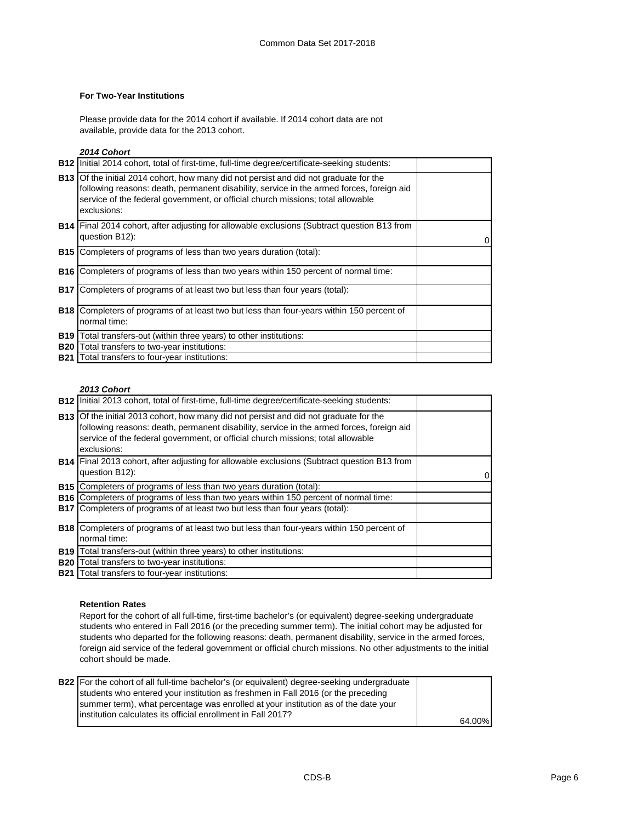#### **For Two-Year Institutions**

Please provide data for the 2014 cohort if available. If 2014 cohort data are not available, provide data for the 2013 cohort.

#### *2014 Cohort*

| <b>B12</b> Initial 2014 cohort, total of first-time, full-time degree/certificate-seeking students:                                                                                                                                                                                        |   |
|--------------------------------------------------------------------------------------------------------------------------------------------------------------------------------------------------------------------------------------------------------------------------------------------|---|
| <b>B13</b> Of the initial 2014 cohort, how many did not persist and did not graduate for the<br>following reasons: death, permanent disability, service in the armed forces, foreign aid<br>service of the federal government, or official church missions; total allowable<br>exclusions: |   |
| <b>B14</b> Final 2014 cohort, after adjusting for allowable exclusions (Subtract question B13 from<br>question B12):                                                                                                                                                                       | 0 |
| <b>B15</b> Completers of programs of less than two years duration (total):                                                                                                                                                                                                                 |   |
| <b>B16</b> Completers of programs of less than two years within 150 percent of normal time:                                                                                                                                                                                                |   |
| <b>B17</b> Completers of programs of at least two but less than four years (total):                                                                                                                                                                                                        |   |
| <b>B18</b> Completers of programs of at least two but less than four-years within 150 percent of<br>normal time:                                                                                                                                                                           |   |
| <b>B19</b> Total transfers-out (within three years) to other institutions:                                                                                                                                                                                                                 |   |
| <b>B20</b> Total transfers to two-year institutions:                                                                                                                                                                                                                                       |   |
| <b>B21</b> Total transfers to four-year institutions:                                                                                                                                                                                                                                      |   |

## *2013 Cohort*

| <b>B12</b> Initial 2013 cohort, total of first-time, full-time degree/certificate-seeking students:                                                                                                                                                                                        |   |
|--------------------------------------------------------------------------------------------------------------------------------------------------------------------------------------------------------------------------------------------------------------------------------------------|---|
| <b>B13</b> Of the initial 2013 cohort, how many did not persist and did not graduate for the<br>following reasons: death, permanent disability, service in the armed forces, foreign aid<br>service of the federal government, or official church missions; total allowable<br>exclusions: |   |
| <b>B14</b> Final 2013 cohort, after adjusting for allowable exclusions (Subtract question B13 from<br>question B12):                                                                                                                                                                       | 0 |
| <b>B15</b> Completers of programs of less than two years duration (total):                                                                                                                                                                                                                 |   |
| <b>B16</b> Completers of programs of less than two years within 150 percent of normal time:                                                                                                                                                                                                |   |
| <b>B17</b> Completers of programs of at least two but less than four years (total):                                                                                                                                                                                                        |   |
| <b>B18</b> Completers of programs of at least two but less than four-years within 150 percent of                                                                                                                                                                                           |   |
| normal time:                                                                                                                                                                                                                                                                               |   |
| B19   Total transfers-out (within three years) to other institutions:                                                                                                                                                                                                                      |   |
| <b>B20</b> Total transfers to two-year institutions:                                                                                                                                                                                                                                       |   |
| <b>B21</b> Total transfers to four-year institutions:                                                                                                                                                                                                                                      |   |

#### **Retention Rates**

Report for the cohort of all full-time, first-time bachelor's (or equivalent) degree-seeking undergraduate students who entered in Fall 2016 (or the preceding summer term). The initial cohort may be adjusted for students who departed for the following reasons: death, permanent disability, service in the armed forces, foreign aid service of the federal government or official church missions. No other adjustments to the initial cohort should be made.

| <b>B22</b> For the cohort of all full-time bachelor's (or equivalent) degree-seeking undergraduate |        |
|----------------------------------------------------------------------------------------------------|--------|
| students who entered your institution as freshmen in Fall 2016 (or the preceding                   |        |
| summer term), what percentage was enrolled at your institution as of the date your                 |        |
| linstitution calculates its official enrollment in Fall 2017?                                      |        |
|                                                                                                    | 64.00% |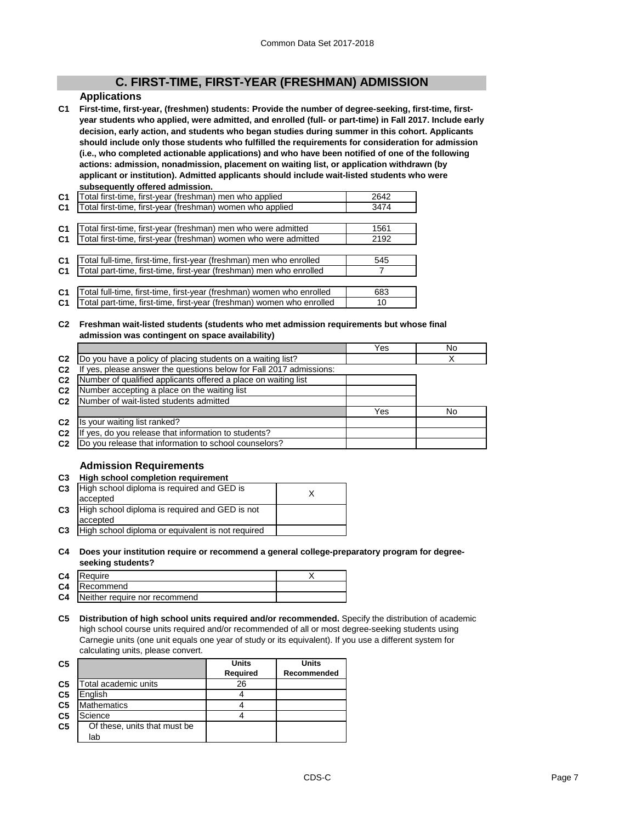# **C. FIRST-TIME, FIRST-YEAR (FRESHMAN) ADMISSION**

#### **Applications**

**C1 First-time, first-year, (freshmen) students: Provide the number of degree-seeking, first-time, firstyear students who applied, were admitted, and enrolled (full- or part-time) in Fall 2017. Include early decision, early action, and students who began studies during summer in this cohort. Applicants should include only those students who fulfilled the requirements for consideration for admission (i.e., who completed actionable applications) and who have been notified of one of the following actions: admission, nonadmission, placement on waiting list, or application withdrawn (by applicant or institution). Admitted applicants should include wait-listed students who were subsequently offered admission.**

| C <sub>1</sub> | Total first-time, first-year (freshman) men who applied               | 2642 |
|----------------|-----------------------------------------------------------------------|------|
| C <sub>1</sub> | Total first-time, first-year (freshman) women who applied             | 3474 |
|                |                                                                       |      |
| C <sub>1</sub> | Total first-time, first-year (freshman) men who were admitted         | 1561 |
| C <sub>1</sub> | Total first-time, first-year (freshman) women who were admitted       | 2192 |
|                |                                                                       |      |
| C <sub>1</sub> | Total full-time, first-time, first-year (freshman) men who enrolled   | 545  |
| C <sub>1</sub> | Total part-time, first-time, first-year (freshman) men who enrolled   |      |
|                |                                                                       |      |
| C <sub>1</sub> | Total full-time, first-time, first-year (freshman) women who enrolled | 683  |
| C <sub>1</sub> | Total part-time, first-time, first-year (freshman) women who enrolled | 10   |
|                |                                                                       |      |

**C2 Freshman wait-listed students (students who met admission requirements but whose final admission was contingent on space availability)**

|                |                                                                  | Yes | No |
|----------------|------------------------------------------------------------------|-----|----|
| C <sub>2</sub> | Do you have a policy of placing students on a waiting list?      |     |    |
| C <sub>2</sub> | yes, please answer the questions below for Fall 2017 admissions: |     |    |
| C <sub>2</sub> | Number of qualified applicants offered a place on waiting list   |     |    |
| C <sub>2</sub> | Number accepting a place on the waiting list                     |     |    |
| C <sub>2</sub> | Number of wait-listed students admitted                          |     |    |
|                |                                                                  | Yes | No |
| C <sub>2</sub> | Is your waiting list ranked?                                     |     |    |
| C <sub>2</sub> | yes, do you release that information to students?                |     |    |
| C <sub>2</sub> | Do you release that information to school counselors?            |     |    |

# **Admission Requirements**

#### **C3 High school completion requirement**

| w              |                                                   |  |  |  |
|----------------|---------------------------------------------------|--|--|--|
| C <sub>3</sub> | High school diploma is required and GED is        |  |  |  |
|                | accepted                                          |  |  |  |
| C <sub>3</sub> | High school diploma is required and GED is not    |  |  |  |
|                | accepted                                          |  |  |  |
| C <sub>3</sub> | High school diploma or equivalent is not required |  |  |  |

#### **C4 Does your institution require or recommend a general college-preparatory program for degreeseeking students?**

| C4 Require                              |  |
|-----------------------------------------|--|
| <b>C4</b> Recommend                     |  |
| <b>C4</b> Neither require nor recommend |  |

**C5 Distribution of high school units required and/or recommended.** Specify the distribution of academic high school course units required and/or recommended of all or most degree-seeking students using Carnegie units (one unit equals one year of study or its equivalent). If you use a different system for calculating units, please convert.

| C <sub>5</sub> |                              | <b>Units</b> | Units       |
|----------------|------------------------------|--------------|-------------|
|                |                              | Required     | Recommended |
| C <sub>5</sub> | Total academic units         | 26           |             |
| C <sub>5</sub> | English                      |              |             |
| C <sub>5</sub> | <b>Mathematics</b>           |              |             |
| C <sub>5</sub> | Science                      |              |             |
| C <sub>5</sub> | Of these, units that must be |              |             |
|                | lab                          |              |             |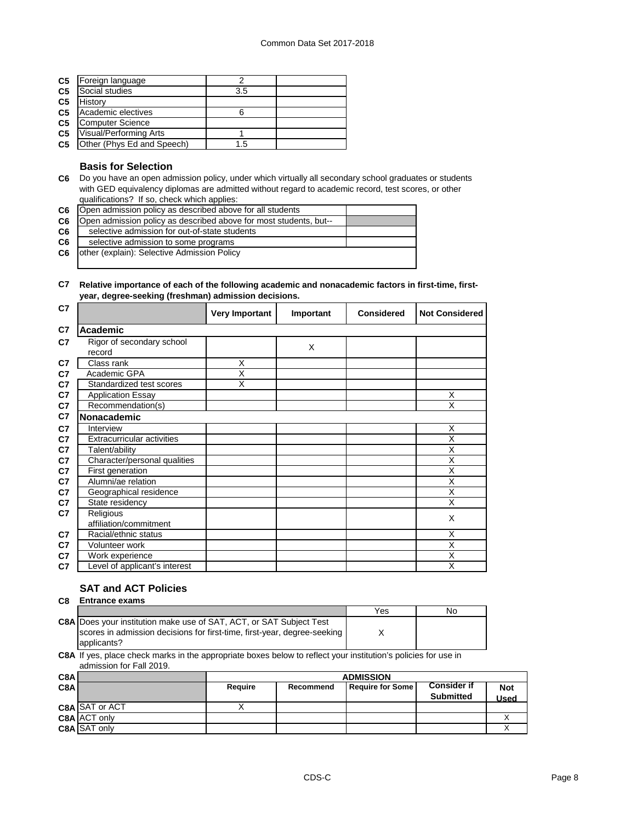| C <sub>5</sub> | Foreign language           |     |  |
|----------------|----------------------------|-----|--|
| C <sub>5</sub> | Social studies             | 3.5 |  |
| C <sub>5</sub> | History                    |     |  |
| C <sub>5</sub> | Academic electives         |     |  |
| C <sub>5</sub> | <b>Computer Science</b>    |     |  |
| C <sub>5</sub> | Visual/Performing Arts     |     |  |
| C <sub>5</sub> | Other (Phys Ed and Speech) | 1.5 |  |

## **Basis for Selection**

**C6** Do you have an open admission policy, under which virtually all secondary school graduates or students with GED equivalency diplomas are admitted without regard to academic record, test scores, or other qualifications? If so, check which applies:

| Open admission policy as described above for all students         |  |
|-------------------------------------------------------------------|--|
| Open admission policy as described above for most students, but-- |  |
| selective admission for out-of-state students                     |  |
| selective admission to some programs                              |  |
| other (explain): Selective Admission Policy                       |  |
|                                                                   |  |
|                                                                   |  |

#### **C7 Relative importance of each of the following academic and nonacademic factors in first-time, firstyear, degree-seeking (freshman) admission decisions.**

| C7             |                                   | <b>Very Important</b> | Important | <b>Considered</b> | <b>Not Considered</b>   |
|----------------|-----------------------------------|-----------------------|-----------|-------------------|-------------------------|
| C7             | <b>Academic</b>                   |                       |           |                   |                         |
| C7             | Rigor of secondary school         |                       | X         |                   |                         |
|                | record                            |                       |           |                   |                         |
| C7             | Class rank                        | X                     |           |                   |                         |
| C7             | Academic GPA                      | Χ                     |           |                   |                         |
| C <sub>7</sub> | Standardized test scores          | X                     |           |                   |                         |
| C <sub>7</sub> | <b>Application Essay</b>          |                       |           |                   | X                       |
| C7             | Recommendation(s)                 |                       |           |                   | X                       |
| C7             | Nonacademic                       |                       |           |                   |                         |
| C7             | Interview                         |                       |           |                   | X                       |
| C <sub>7</sub> | <b>Extracurricular activities</b> |                       |           |                   | X                       |
| C7             | Talent/ability                    |                       |           |                   | X                       |
| C7             | Character/personal qualities      |                       |           |                   | $\overline{\mathsf{x}}$ |
| C7             | First generation                  |                       |           |                   | X                       |
| C <sub>7</sub> | Alumni/ae relation                |                       |           |                   | X                       |
| C7             | Geographical residence            |                       |           |                   | X                       |
| C7             | State residency                   |                       |           |                   | X                       |
| C7             | Religious                         |                       |           |                   | X                       |
|                | affiliation/commitment            |                       |           |                   |                         |
| C7             | Racial/ethnic status              |                       |           |                   | X                       |
| C7             | Volunteer work                    |                       |           |                   | $\overline{\mathsf{x}}$ |
| C7             | Work experience                   |                       |           |                   | X                       |
| C7             | Level of applicant's interest     |                       |           |                   | X                       |

# **SAT and ACT Policies**

#### **C8 Entrance exams**

|                                                                            | Yes | NΟ |
|----------------------------------------------------------------------------|-----|----|
| <b>C8A Does your institution make use of SAT, ACT, or SAT Subject Test</b> |     |    |
| scores in admission decisions for first-time, first-year, degree-seeking   |     |    |
| applicants?                                                                |     |    |

**C8A** If yes, place check marks in the appropriate boxes below to reflect your institution's policies for use in admission for Fall 2019.

| C8AI |                       |         | <b>ADMISSION</b> |                         |                                        |                    |
|------|-----------------------|---------|------------------|-------------------------|----------------------------------------|--------------------|
| C8AI |                       | Require | Recommend        | <b>Require for Some</b> | <b>Consider if</b><br><b>Submitted</b> | <b>Not</b><br>Used |
|      | <b>C8A SAT or ACT</b> |         |                  |                         |                                        |                    |
|      | <b>C8A ACT only</b>   |         |                  |                         |                                        |                    |
|      | C8A SAT only          |         |                  |                         |                                        |                    |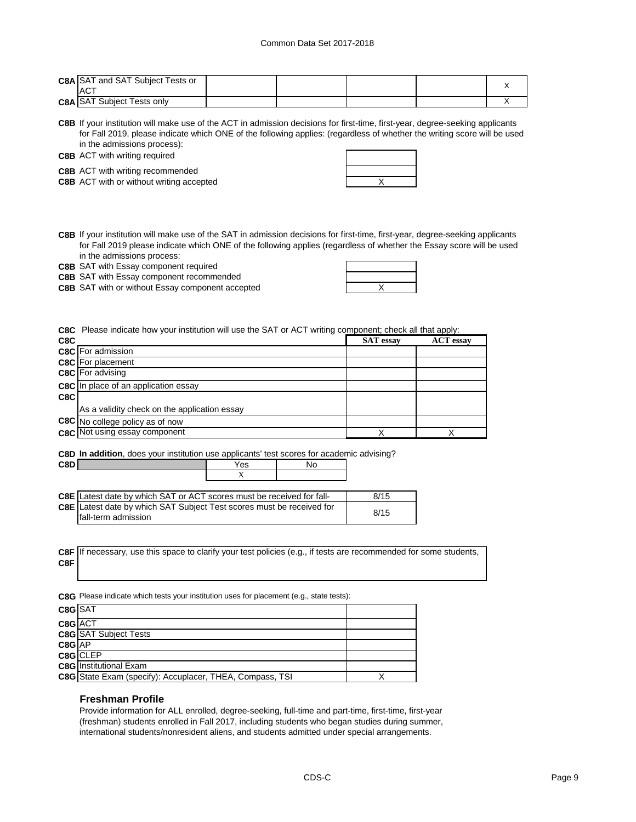| <b>C8A SAT and SAT Subject Tests or</b><br>$AC^{\mathsf{T}}$ |  |  |  |
|--------------------------------------------------------------|--|--|--|
| <b>C8A SAT Subject Tests only</b>                            |  |  |  |

**C8B** If your institution will make use of the ACT in admission decisions for first-time, first-year, degree-seeking applicants for Fall 2019, please indicate which ONE of the following applies: (regardless of whether the writing score will be used in the admissions process):

**C8B** ACT with writing required

**C8B** ACT with writing recommended

**C8B** ACT with or without writing accepted **ACT** MET ALL ALL A

**C8B** If your institution will make use of the SAT in admission decisions for first-time, first-year, degree-seeking applicants for Fall 2019 please indicate which ONE of the following applies (regardless of whether the Essay score will be used in the admissions process:

**C8B** SAT with Essay component required

**C8B** SAT with Essay component recommended

**C8B** X SAT with or without Essay component accepted

**C8C** Please indicate how your institution will use the SAT or ACT writing component; check all that apply:

| C8C  |                                              | <b>SAT</b> essay | <b>ACT</b> essay |
|------|----------------------------------------------|------------------|------------------|
|      | <b>C8C</b> For admission                     |                  |                  |
|      | <b>C8C</b> For placement                     |                  |                  |
|      | <b>C8C</b> For advising                      |                  |                  |
|      | C8C In place of an application essay         |                  |                  |
| C8CI |                                              |                  |                  |
|      | As a validity check on the application essay |                  |                  |
|      | C8C No college policy as of now              |                  |                  |
|      | <b>C8C</b> Not using essay component         |                  |                  |

**C8D In addition**, does your institution use applicants' test scores for academic advising?

| <b>C</b> 8DI<br>--- | 'es      | Nc<br>◡ |
|---------------------|----------|---------|
|                     | $\cdots$ |         |

| <b>C8E</b> Latest date by which SAT or ACT scores must be received for fall- | 8/15 |
|------------------------------------------------------------------------------|------|
| C8E Latest date by which SAT Subject Test scores must be received for        | 8/15 |
| Ifall-term admission                                                         |      |

**C8F** If necessary, use this space to clarify your test policies (e.g., if tests are recommended for some students, **C8F**

**C8G** Please indicate which tests your institution uses for placement (e.g., state tests):

| C8G SAT    |                                                          |  |
|------------|----------------------------------------------------------|--|
| C8G ACT    |                                                          |  |
|            | <b>C8G</b> SAT Subject Tests                             |  |
| $C8G$ $AP$ |                                                          |  |
|            | C8G CLEP                                                 |  |
|            | <b>C8G</b> Institutional Exam                            |  |
|            | C8G State Exam (specify): Accuplacer, THEA, Compass, TSI |  |

#### **Freshman Profile**

Provide information for ALL enrolled, degree-seeking, full-time and part-time, first-time, first-year (freshman) students enrolled in Fall 2017, including students who began studies during summer, international students/nonresident aliens, and students admitted under special arrangements.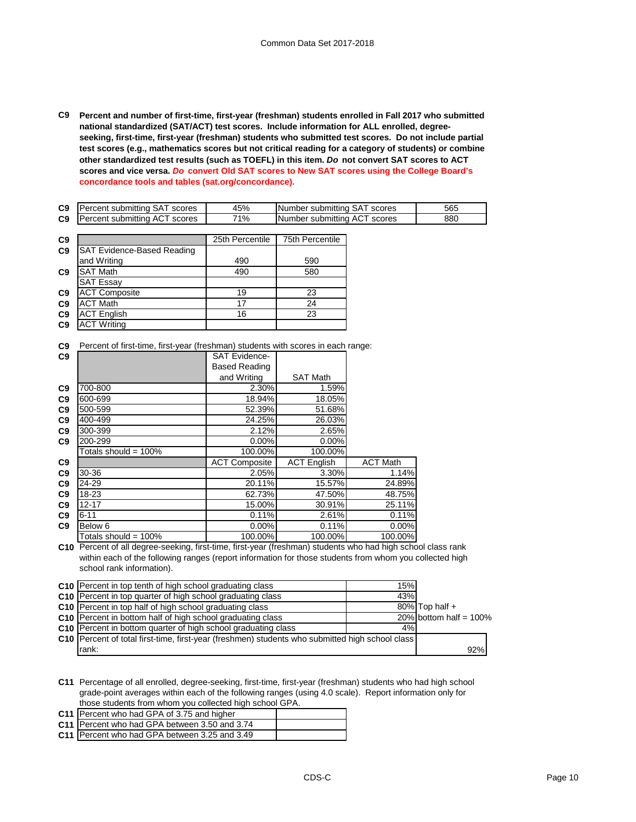**C9 Percent and number of first-time, first-year (freshman) students enrolled in Fall 2017 who submitted national standardized (SAT/ACT) test scores. Include information for ALL enrolled, degreeseeking, first-time, first-year (freshman) students who submitted test scores. Do not include partial test scores (e.g., mathematics scores but not critical reading for a category of students) or combine other standardized test results (such as TOEFL) in this item.** *Do* **not convert SAT scores to ACT scores and vice versa.** *Do* **convert Old SAT scores to New SAT scores using the College Board's concordance tools and tables (sat.org/concordance).**

| C9 | Percent submitting SAT<br>scores | 45% | INumber submitting SAT<br>scores | 565 |
|----|----------------------------------|-----|----------------------------------|-----|
| C9 | Percent submitting ACT<br>scores | 71% | TNumber submitting ACT<br>scores | 88C |

| C9             |                                   | 25th Percentile | <b>75th Percentile</b> |
|----------------|-----------------------------------|-----------------|------------------------|
| C <sub>9</sub> | <b>SAT Evidence-Based Reading</b> |                 |                        |
|                | and Writing                       | 490             | 590                    |
| C <sub>9</sub> | <b>SAT Math</b>                   | 490             | 580                    |
|                | <b>SAT Essay</b>                  |                 |                        |
| C <sub>9</sub> | <b>ACT Composite</b>              | 19              | 23                     |
| C <sub>9</sub> | <b>ACT Math</b>                   | 17              | 24                     |
| C <sub>9</sub> | <b>ACT English</b>                | 16              | 23                     |
| C <sub>9</sub> | <b>ACT Writing</b>                |                 |                        |

**C9** Percent of first-time, first-year (freshman) students with scores in each range:

| C9             |                         | <b>SAT Evidence-</b> |                    |                 |
|----------------|-------------------------|----------------------|--------------------|-----------------|
|                |                         | Based Reading        |                    |                 |
|                |                         | and Writing          | <b>SAT Math</b>    |                 |
| C9             | 700-800                 | 2.30%                | 1.59%              |                 |
| C <sub>9</sub> | 600-699                 | 18.94%               | 18.05%             |                 |
| C <sub>9</sub> | 500-599                 | 52.39%               | 51.68%             |                 |
| C9             | 400-499                 | 24.25%               | 26.03%             |                 |
| C9             | 300-399                 | 2.12%                | 2.65%              |                 |
| C9             | 200-299                 | 0.00%                | 0.00%              |                 |
|                | Totals should = $100\%$ | 100.00%              | 100.00%            |                 |
| C <sub>9</sub> |                         | <b>ACT Composite</b> | <b>ACT English</b> | <b>ACT Math</b> |
| C9             | 30-36                   | 2.05%                | 3.30%              | 1.14%           |
| C9             | 24-29                   | 20.11%               | 15.57%             | 24.89%          |
| C9             | 18-23                   | 62.73%               | 47.50%             | 48.75%          |
| C9             | $12 - 17$               | 15.00%               | 30.91%             | 25.11%          |
| C9             | $6 - 11$                | 0.11%                | 2.61%              | 0.11%           |
| C <sub>9</sub> | Below 6                 | $0.00\%$             | 0.11%              | 0.00%           |
|                | Totals should = $100\%$ | 100.00%              | 100.00%            | 100.00%         |

**C10** Percent of all degree-seeking, first-time, first-year (freshman) students who had high school class rank within each of the following ranges (report information for those students from whom you collected high school rank information).

| C10 Percent in top tenth of high school graduating class                                          | 15% |                           |
|---------------------------------------------------------------------------------------------------|-----|---------------------------|
| <b>C10</b> Percent in top quarter of high school graduating class                                 | 43% |                           |
| <b>C10</b> Percent in top half of high school graduating class                                    |     | $80\%$ Top half +         |
| C10 Percent in bottom half of high school graduating class                                        |     | 20% bottom half = $100\%$ |
| C <sub>10</sub> Percent in bottom quarter of high school graduating class                         | 4%  |                           |
| C10   Percent of total first-time, first-year (freshmen) students who submitted high school class |     |                           |
| rank:                                                                                             |     | 92%                       |

**C11** Percentage of all enrolled, degree-seeking, first-time, first-year (freshman) students who had high school grade-point averages within each of the following ranges (using 4.0 scale). Report information only for those students from whom you collected high school GPA.

| C11 Percent who had GPA of 3.75 and higher    |  |
|-----------------------------------------------|--|
| C11 Percent who had GPA between 3.50 and 3.74 |  |
| C11 Percent who had GPA between 3.25 and 3.49 |  |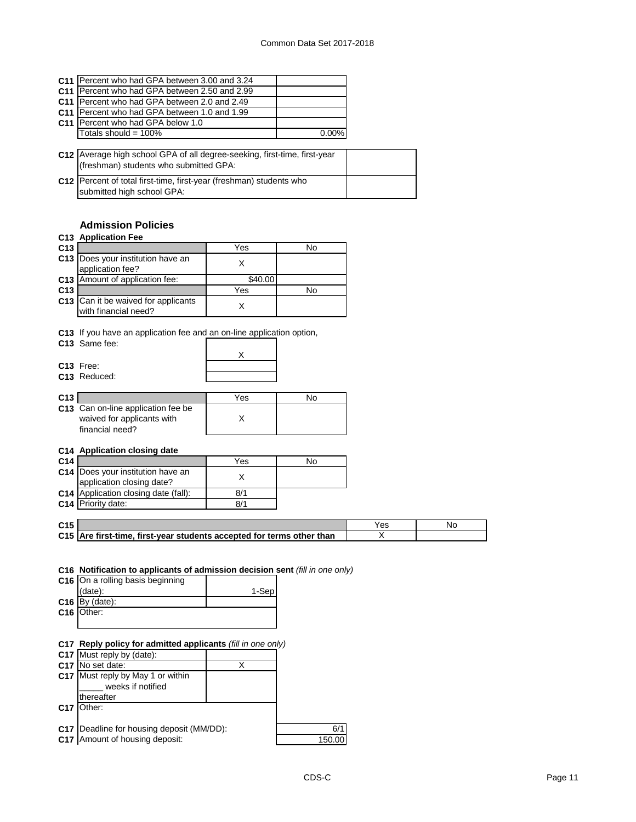|                 | <b>C11 IPercent who had GPA between 3.00 and 3.24</b>                     |          |  |
|-----------------|---------------------------------------------------------------------------|----------|--|
|                 | C11 Percent who had GPA between 2.50 and 2.99                             |          |  |
| C <sub>11</sub> | Percent who had GPA between 2.0 and 2.49                                  |          |  |
| C <sub>11</sub> | Percent who had GPA between 1.0 and 1.99                                  |          |  |
|                 | C11 Percent who had GPA below 1.0                                         |          |  |
|                 | Totals should = $100\%$                                                   | $0.00\%$ |  |
|                 |                                                                           |          |  |
|                 | C12 Average high school GPA of all degree-seeking, first-time, first-year |          |  |
|                 | (freshman) students who submitted GPA:                                    |          |  |
|                 | C12 Percent of total first-time, first-year (freshman) students who       |          |  |
|                 | submitted high school GPA:                                                |          |  |

# **Admission Policies**

| C13 Application Fee<br>C <sub>13</sub><br>Does your institution have an<br>C <sub>13</sub><br>application fee?<br>Amount of application fee:<br>C <sub>13</sub><br>C <sub>13</sub><br><b>C13</b> Can it be waived for applicants<br>with financial need?<br>C13 If you have an application fee and an on-line application option,<br>C <sub>13</sub> Same fee:<br>C <sub>13</sub> Free:<br>C13 Reduced: | Yes<br>X<br>\$40.00<br>Yes<br>X<br>X | No<br>No |
|---------------------------------------------------------------------------------------------------------------------------------------------------------------------------------------------------------------------------------------------------------------------------------------------------------------------------------------------------------------------------------------------------------|--------------------------------------|----------|
|                                                                                                                                                                                                                                                                                                                                                                                                         |                                      |          |
|                                                                                                                                                                                                                                                                                                                                                                                                         |                                      |          |
|                                                                                                                                                                                                                                                                                                                                                                                                         |                                      |          |
|                                                                                                                                                                                                                                                                                                                                                                                                         |                                      |          |
|                                                                                                                                                                                                                                                                                                                                                                                                         |                                      |          |
|                                                                                                                                                                                                                                                                                                                                                                                                         |                                      |          |
|                                                                                                                                                                                                                                                                                                                                                                                                         |                                      |          |
|                                                                                                                                                                                                                                                                                                                                                                                                         |                                      |          |
|                                                                                                                                                                                                                                                                                                                                                                                                         |                                      |          |
|                                                                                                                                                                                                                                                                                                                                                                                                         |                                      |          |
|                                                                                                                                                                                                                                                                                                                                                                                                         |                                      |          |
| C13                                                                                                                                                                                                                                                                                                                                                                                                     | Yes                                  | No       |
| C13 Can on-line application fee be<br>waived for applicants with<br>financial need?                                                                                                                                                                                                                                                                                                                     | X                                    |          |
| C14 Application closing date                                                                                                                                                                                                                                                                                                                                                                            |                                      |          |
| C <sub>14</sub>                                                                                                                                                                                                                                                                                                                                                                                         | Yes                                  | No       |
| Does your institution have an<br>C <sub>14</sub><br>application closing date?                                                                                                                                                                                                                                                                                                                           | X                                    |          |
| <b>C14</b> Application closing date (fall):                                                                                                                                                                                                                                                                                                                                                             |                                      |          |
| C14 Priority date:                                                                                                                                                                                                                                                                                                                                                                                      | 8/1                                  |          |
|                                                                                                                                                                                                                                                                                                                                                                                                         |                                      |          |

| C <sub>15</sub> |                                                                       | Yes | NC. |
|-----------------|-----------------------------------------------------------------------|-----|-----|
|                 | C15 Are first-time, first-year students accepted for terms other than |     |     |

## **C16 Notification to applicants of admission decision sent** *(fill in one only)*

| C16 On a rolling basis beginning |       |
|----------------------------------|-------|
| (data):                          | 1-Sep |
| $C16$ By (date):                 |       |
| C <sub>16</sub> Other:           |       |
|                                  |       |

# **C17 Reply policy for admitted applicants** *(fill in one only)*

| <b>C17</b> Must reply by (date):            |        |
|---------------------------------------------|--------|
| C <sub>17</sub> No set date:                |        |
| <b>C17</b> Must reply by May 1 or within    |        |
| weeks if notified                           |        |
| thereafter                                  |        |
| C <sub>17</sub>   Other:                    |        |
|                                             |        |
| C17   Deadline for housing deposit (MM/DD): | 6/1    |
| C <sub>47</sub> Amount of housing donosity  | 150.00 |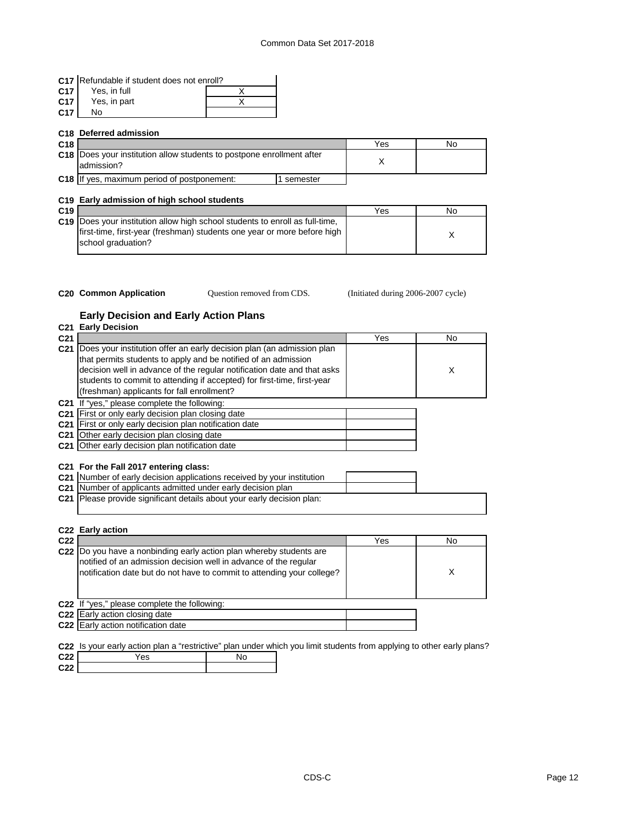|                 | C17 Refundable if student does not enroll? |  |  |  |  |
|-----------------|--------------------------------------------|--|--|--|--|
| C <sub>17</sub> | Yes. in full                               |  |  |  |  |
| C <sub>17</sub> | Yes, in part                               |  |  |  |  |
| C <sub>17</sub> | N٥                                         |  |  |  |  |

|                                                                                            | C <sub>18</sub> Deferred admission          |          |     |    |
|--------------------------------------------------------------------------------------------|---------------------------------------------|----------|-----|----|
| C18                                                                                        |                                             |          | Yes | No |
| <b>C18</b> Does your institution allow students to postpone enrollment after<br>admission? |                                             |          |     |    |
|                                                                                            | C18 If yes, maximum period of postponement: | semester |     |    |

### **C19 Early admission of high school students**

| C <sub>19</sub> |                                                                                                                                                         | Yes | No |
|-----------------|---------------------------------------------------------------------------------------------------------------------------------------------------------|-----|----|
|                 | C19 Does your institution allow high school students to enroll as full-time.<br>first-time, first-year (freshman) students one year or more before high |     |    |
|                 | school graduation?                                                                                                                                      |     |    |

- 
- Question removed from CDS.

**C20 Common Application Caucal** Question removed from CDS. (Initiated during 2006-2007 cycle)

# **Early Decision and Early Action Plans**

| C <sub>21</sub> | C21 Early Decision                                                                                                                                                                                                                                       | Yes | No |
|-----------------|----------------------------------------------------------------------------------------------------------------------------------------------------------------------------------------------------------------------------------------------------------|-----|----|
|                 | C21 Does your institution offer an early decision plan (an admission plan                                                                                                                                                                                |     |    |
|                 | that permits students to apply and be notified of an admission                                                                                                                                                                                           |     |    |
|                 | decision well in advance of the regular notification date and that asks                                                                                                                                                                                  |     | X  |
|                 | students to commit to attending if accepted) for first-time, first-year                                                                                                                                                                                  |     |    |
|                 | (freshman) applicants for fall enrollment?                                                                                                                                                                                                               |     |    |
|                 | C21 If "yes," please complete the following:                                                                                                                                                                                                             |     |    |
|                 | C21 First or only early decision plan closing date                                                                                                                                                                                                       |     |    |
|                 | C <sub>21</sub> First or only early decision plan notification date                                                                                                                                                                                      |     |    |
|                 | C21 Other early decision plan closing date                                                                                                                                                                                                               |     |    |
|                 | C21 Other early decision plan notification date                                                                                                                                                                                                          |     |    |
|                 | C21 For the Fall 2017 entering class:<br>C21 Number of early decision applications received by your institution<br>C21 Number of applicants admitted under early decision plan<br>C21 Please provide significant details about your early decision plan: |     |    |
| C <sub>22</sub> | C <sub>22</sub> Early action                                                                                                                                                                                                                             | Yes | No |
|                 |                                                                                                                                                                                                                                                          |     |    |
|                 | C22  Do you have a nonbinding early action plan whereby students are<br>notified of an admission decision well in advance of the regular<br>notification date but do not have to commit to attending your college?                                       |     | X  |
|                 | C22 If "yes," please complete the following:                                                                                                                                                                                                             |     |    |
|                 | C22 Early action closing date                                                                                                                                                                                                                            |     |    |
|                 | C22 Early action notification date                                                                                                                                                                                                                       |     |    |

**C22** Is your early action plan a "restrictive" plan under which you limit students from applying to other early plans?

| C <sub>22</sub> | 'es | , VO |
|-----------------|-----|------|
| C <sub>22</sub> |     |      |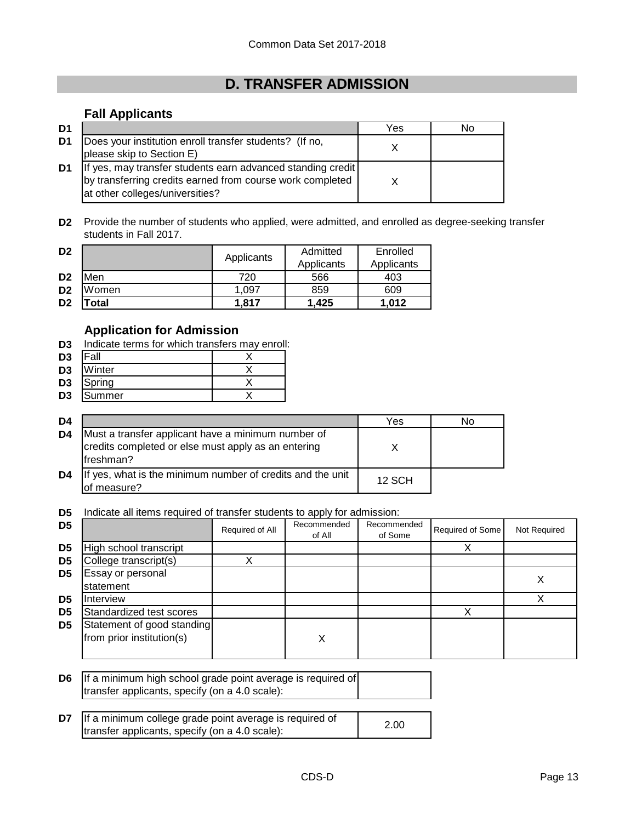# **D. TRANSFER ADMISSION**

# **Fall Applicants**

| D <sub>1</sub> |                                                                                                                                                             | Yes | No |
|----------------|-------------------------------------------------------------------------------------------------------------------------------------------------------------|-----|----|
| D1             | Does your institution enroll transfer students? (If no,<br>please skip to Section E)                                                                        |     |    |
| D1             | If yes, may transfer students earn advanced standing credit<br>by transferring credits earned from course work completed<br>at other colleges/universities? |     |    |

**D2** Provide the number of students who applied, were admitted, and enrolled as degree-seeking transfer students in Fall 2017.

| D <sub>2</sub> |       | Applicants | Admitted   | Enrolled   |
|----------------|-------|------------|------------|------------|
|                |       |            | Applicants | Applicants |
| D <sub>2</sub> | Men   | 720        | 566        | 403        |
| D <sub>2</sub> | Women | 1.097      | 859        | 609        |
| D <sub>2</sub> | 'otal | 1.817      | 1.425      | 1.012      |

# **Application for Admission**

**D3** Indicate terms for which transfers may enroll:

| D3 | all     |  |
|----|---------|--|
| n, | Mlinkor |  |

- **D3** Winter X<br> **D3** Spring X
- **D3** Spring X<br> **D3** Summer X **D3** Summer

| D4             |                                                                                                                        | Yes           | No |
|----------------|------------------------------------------------------------------------------------------------------------------------|---------------|----|
| D <sub>4</sub> | Must a transfer applicant have a minimum number of<br>credits completed or else must apply as an entering<br>freshman? |               |    |
| D <sub>4</sub> | If yes, what is the minimum number of credits and the unit<br>of measure?                                              | <b>12 SCH</b> |    |

**D5** Indicate all items required of transfer students to apply for admission:

| D <sub>5</sub> |                                                         | Required of All | Recommended<br>of All | Recommended<br>of Some | Required of Some | Not Required |
|----------------|---------------------------------------------------------|-----------------|-----------------------|------------------------|------------------|--------------|
| D <sub>5</sub> | High school transcript                                  |                 |                       |                        |                  |              |
| D <sub>5</sub> | College transcript(s)                                   |                 |                       |                        |                  |              |
| D <sub>5</sub> | Essay or personal<br>statement                          |                 |                       |                        |                  |              |
| D <sub>5</sub> | Interview                                               |                 |                       |                        |                  |              |
| D <sub>5</sub> | Standardized test scores                                |                 |                       |                        |                  |              |
| D <sub>5</sub> | Statement of good standing<br>from prior institution(s) |                 | X                     |                        |                  |              |

**D6** If a minimum high school grade point average is required of transfer applicants, specify (on a 4.0 scale):

| <b>D7</b> If a minimum college grade point average is required of | 2.00 |
|-------------------------------------------------------------------|------|
| transfer applicants, specify (on a 4.0 scale):                    |      |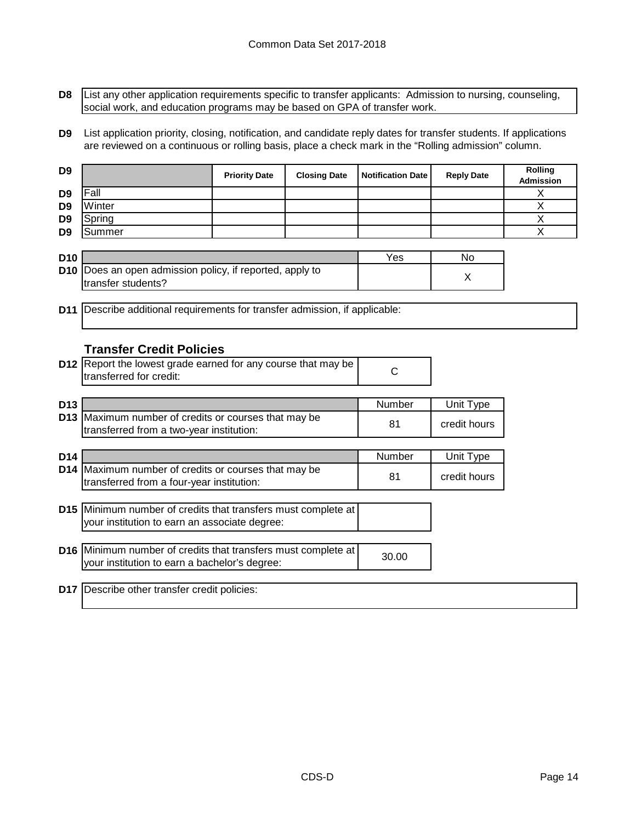**D8** List any other application requirements specific to transfer applicants: Admission to nursing, counseling, social work, and education programs may be based on GPA of transfer work.

**D9** List application priority, closing, notification, and candidate reply dates for transfer students. If applications are reviewed on a continuous or rolling basis, place a check mark in the "Rolling admission" column.

| D <sub>9</sub>  |                                                                                    | <b>Priority Date</b> | <b>Closing Date</b> | <b>Notification Date</b> | <b>Reply Date</b> | Rolling<br><b>Admission</b> |
|-----------------|------------------------------------------------------------------------------------|----------------------|---------------------|--------------------------|-------------------|-----------------------------|
| D <sub>9</sub>  | Fall                                                                               |                      |                     |                          |                   | X                           |
| D <sub>9</sub>  | Winter                                                                             |                      |                     |                          |                   | X                           |
| D <sub>9</sub>  | Spring                                                                             |                      |                     |                          |                   | X                           |
| D <sub>9</sub>  | Summer                                                                             |                      |                     |                          |                   | X                           |
|                 |                                                                                    |                      |                     |                          |                   |                             |
| D <sub>10</sub> |                                                                                    |                      |                     | Yes                      | <b>No</b>         |                             |
| D <sub>10</sub> | Does an open admission policy, if reported, apply to<br>transfer students?         |                      |                     |                          | X                 |                             |
|                 |                                                                                    |                      |                     |                          |                   |                             |
|                 | <b>D11</b> Describe additional requirements for transfer admission, if applicable: |                      |                     |                          |                   |                             |
|                 |                                                                                    |                      |                     |                          |                   |                             |
|                 |                                                                                    |                      |                     |                          |                   |                             |
|                 | <b>Transfer Credit Policies</b>                                                    |                      |                     |                          |                   |                             |
|                 | D12 Report the lowest grade earned for any course that may be                      |                      |                     |                          |                   |                             |
|                 | transferred for credit:                                                            |                      |                     | $\mathsf{C}$             |                   |                             |
|                 |                                                                                    |                      |                     |                          |                   |                             |
| D <sub>13</sub> |                                                                                    |                      |                     | Number                   | Unit Type         |                             |
|                 | D13 Maximum number of credits or courses that may be                               |                      |                     |                          |                   |                             |
|                 | transferred from a two-year institution:                                           |                      |                     | 81                       | credit hours      |                             |
|                 |                                                                                    |                      |                     |                          |                   |                             |
| D <sub>14</sub> |                                                                                    |                      |                     | Number                   | Unit Type         |                             |
| D <sub>14</sub> | Maximum number of credits or courses that may be                                   |                      |                     | 81                       | credit hours      |                             |
|                 | transferred from a four-year institution:                                          |                      |                     |                          |                   |                             |
|                 |                                                                                    |                      |                     |                          |                   |                             |
|                 | D15 Minimum number of credits that transfers must complete at                      |                      |                     |                          |                   |                             |
|                 | your institution to earn an associate degree:                                      |                      |                     |                          |                   |                             |
|                 |                                                                                    |                      |                     |                          |                   |                             |
|                 | D16 Minimum number of credits that transfers must complete at                      |                      |                     | 30.00                    |                   |                             |
|                 | your institution to earn a bachelor's degree:                                      |                      |                     |                          |                   |                             |
|                 |                                                                                    |                      |                     |                          |                   |                             |
|                 | D17   Describe other transfer credit policies:                                     |                      |                     |                          |                   |                             |
|                 |                                                                                    |                      |                     |                          |                   |                             |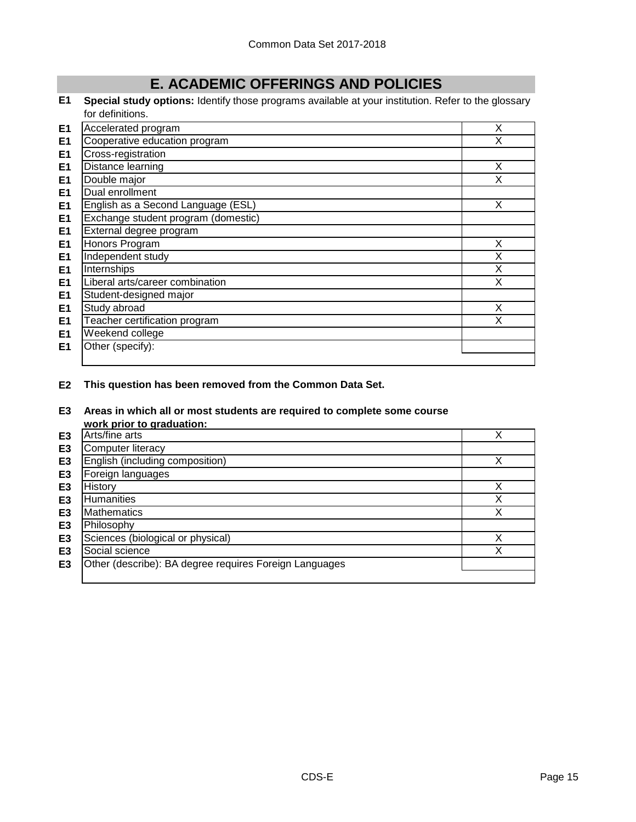# **E. ACADEMIC OFFERINGS AND POLICIES**

**E1 Special study options:** Identify those programs available at your institution. Refer to the glossary for definitions.

| E <sub>1</sub> | Accelerated program                 | X |
|----------------|-------------------------------------|---|
| E <sub>1</sub> | Cooperative education program       | X |
| E <sub>1</sub> | Cross-registration                  |   |
| E <sub>1</sub> | Distance learning                   | X |
| E <sub>1</sub> | Double major                        | X |
| E <sub>1</sub> | Dual enrollment                     |   |
| E <sub>1</sub> | English as a Second Language (ESL)  | X |
| E <sub>1</sub> | Exchange student program (domestic) |   |
| E <sub>1</sub> | External degree program             |   |
| E <sub>1</sub> | Honors Program                      | X |
| E <sub>1</sub> | Independent study                   | X |
| E <sub>1</sub> | Internships                         | X |
| E <sub>1</sub> | Liberal arts/career combination     | X |
| E <sub>1</sub> | Student-designed major              |   |
| E <sub>1</sub> | Study abroad                        | X |
| E <sub>1</sub> | Teacher certification program       | X |
| E <sub>1</sub> | Weekend college                     |   |
| E <sub>1</sub> | Other (specify):                    |   |
|                |                                     |   |

**E2 This question has been removed from the Common Data Set.**

# **E3 Areas in which all or most students are required to complete some course**

|                | work prior to graduation:                              |   |
|----------------|--------------------------------------------------------|---|
| E <sub>3</sub> | Arts/fine arts                                         |   |
| E <sub>3</sub> | Computer literacy                                      |   |
| E <sub>3</sub> | English (including composition)                        |   |
| E3             | Foreign languages                                      |   |
| E3             | History                                                | ν |
| E <sub>3</sub> | Humanities                                             | ◡ |
| E <sub>3</sub> | <b>Mathematics</b>                                     | ◡ |
| E <sub>3</sub> | Philosophy                                             |   |
| E <sub>3</sub> | Sciences (biological or physical)                      |   |
| E3             | Social science                                         |   |
| E <sub>3</sub> | Other (describe): BA degree requires Foreign Languages |   |
|                |                                                        |   |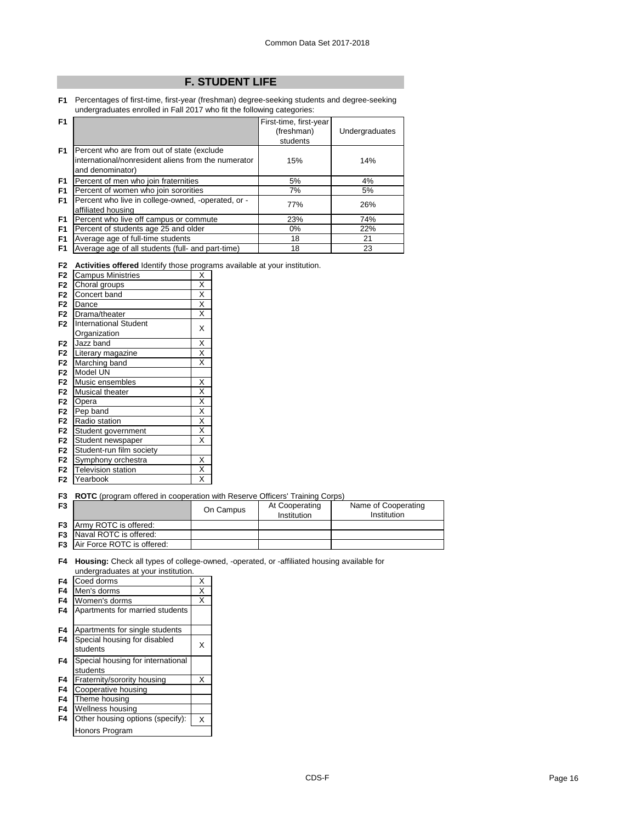# **F. STUDENT LIFE**

**F1** Percentages of first-time, first-year (freshman) degree-seeking students and degree-seeking undergraduates enrolled in Fall 2017 who fit the following categories:

| Undergraduates |
|----------------|
|                |
|                |
| 14%            |
| 4%             |
| 5%             |
| 26%            |
| 74%            |
| 22%            |
| 21             |
| 23             |
|                |

**F2 Activities offered** Identify those programs available at your institution.

| <b>Campus Ministries</b>     | Χ                       |
|------------------------------|-------------------------|
| Choral groups                | Χ                       |
| Concert band                 | X                       |
| Dance                        | Χ                       |
| Drama/theater                | X                       |
| <b>International Student</b> | X                       |
| Organization                 |                         |
| Jazz band                    | X                       |
| Literary magazine            | $\overline{\mathsf{x}}$ |
| Marching band                | X                       |
| Model UN                     |                         |
| Music ensembles              | X                       |
| <b>Musical theater</b>       | X                       |
| Opera                        | $\overline{\mathsf{x}}$ |
| Pep band                     | X                       |
| Radio station                | X                       |
| Student government           | $\overline{\mathsf{x}}$ |
| Student newspaper            | X                       |
| Student-run film society     |                         |
| Symphony orchestra           | X                       |
| <b>Television station</b>    | Χ                       |
| Yearbook                     | X                       |
|                              |                         |

**F3 ROTC** (program offered in cooperation with Reserve Officers' Training Corps)

| F <sub>3</sub> |                                      | On Campus | At Cooperating<br>Institution | Name of Cooperating<br>Institution |
|----------------|--------------------------------------|-----------|-------------------------------|------------------------------------|
|                | <b>F3</b> Army ROTC is offered:      |           |                               |                                    |
|                | <b>F3</b> Naval ROTC is offered:     |           |                               |                                    |
|                | <b>F3</b> Air Force ROTC is offered: |           |                               |                                    |

**F4 Housing:** Check all types of college-owned, -operated, or -affiliated housing available for undergraduates at your institution.

| F4 | Coed dorms                                    | Χ |
|----|-----------------------------------------------|---|
| F4 | Men's dorms                                   | X |
| F4 | Women's dorms                                 | X |
| F4 | Apartments for married students               |   |
| F4 | Apartments for single students                |   |
| F4 | Special housing for disabled<br>students      | X |
| F4 | Special housing for international<br>students |   |
| F4 | Fraternity/sorority housing                   | X |
| F4 | Cooperative housing                           |   |
| F4 | Theme housing                                 |   |
| F4 | Wellness housing                              |   |
| F4 | Other housing options (specify):              | X |
|    | <b>Honors Program</b>                         |   |
|    |                                               |   |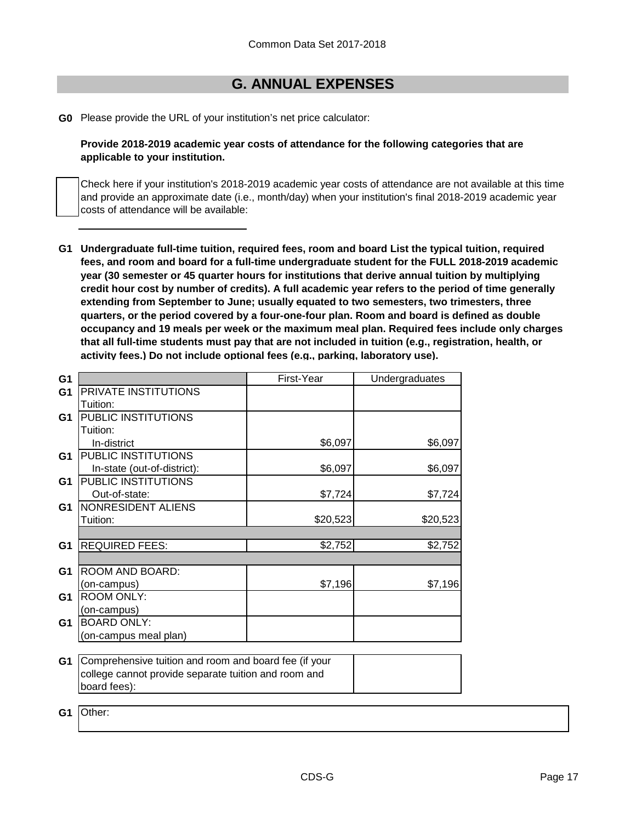# **G. ANNUAL EXPENSES**

**G0** Please provide the URL of your institution's net price calculator:

**Provide 2018-2019 academic year costs of attendance for the following categories that are applicable to your institution.**

Check here if your institution's 2018-2019 academic year costs of attendance are not available at this time and provide an approximate date (i.e., month/day) when your institution's final 2018-2019 academic year costs of attendance will be available:

**G1 Undergraduate full-time tuition, required fees, room and board List the typical tuition, required fees, and room and board for a full-time undergraduate student for the FULL 2018-2019 academic year (30 semester or 45 quarter hours for institutions that derive annual tuition by multiplying credit hour cost by number of credits). A full academic year refers to the period of time generally extending from September to June; usually equated to two semesters, two trimesters, three quarters, or the period covered by a four-one-four plan. Room and board is defined as double occupancy and 19 meals per week or the maximum meal plan. Required fees include only charges that all full-time students must pay that are not included in tuition (e.g., registration, health, or activity fees.) Do not include optional fees (e.g., parking, laboratory use).**

| G <sub>1</sub> |                                                       | First-Year | Undergraduates |
|----------------|-------------------------------------------------------|------------|----------------|
| G <sub>1</sub> | PRIVATE INSTITUTIONS                                  |            |                |
|                | Tuition:                                              |            |                |
| G1             | PUBLIC INSTITUTIONS                                   |            |                |
|                | Tuition:                                              |            |                |
|                | In-district                                           | \$6,097    | \$6,097        |
| G <sub>1</sub> | PUBLIC INSTITUTIONS                                   |            |                |
|                | In-state (out-of-district):                           | \$6,097    | \$6,097        |
| G1             | PUBLIC INSTITUTIONS                                   |            |                |
|                | Out-of-state:                                         | \$7,724    | \$7,724        |
| G1             | NONRESIDENT ALIENS                                    |            |                |
|                | Tuition:                                              | \$20,523   | \$20,523       |
|                |                                                       |            |                |
| G <sub>1</sub> | <b>REQUIRED FEES:</b>                                 | \$2,752    | \$2,752        |
|                |                                                       |            |                |
| G <sub>1</sub> | ROOM AND BOARD:                                       |            |                |
|                | (on-campus)                                           | \$7,196    | \$7,196        |
| G1             | <b>ROOM ONLY:</b>                                     |            |                |
|                | (on-campus)                                           |            |                |
| G1             | <b>BOARD ONLY:</b>                                    |            |                |
|                | (on-campus meal plan)                                 |            |                |
|                |                                                       |            |                |
| G <sub>1</sub> | Comprehensive tuition and room and board fee (if your |            |                |
|                | college cannot provide separate tuition and room and  |            |                |
|                | board fees):                                          |            |                |
|                |                                                       |            |                |

**G1** Other: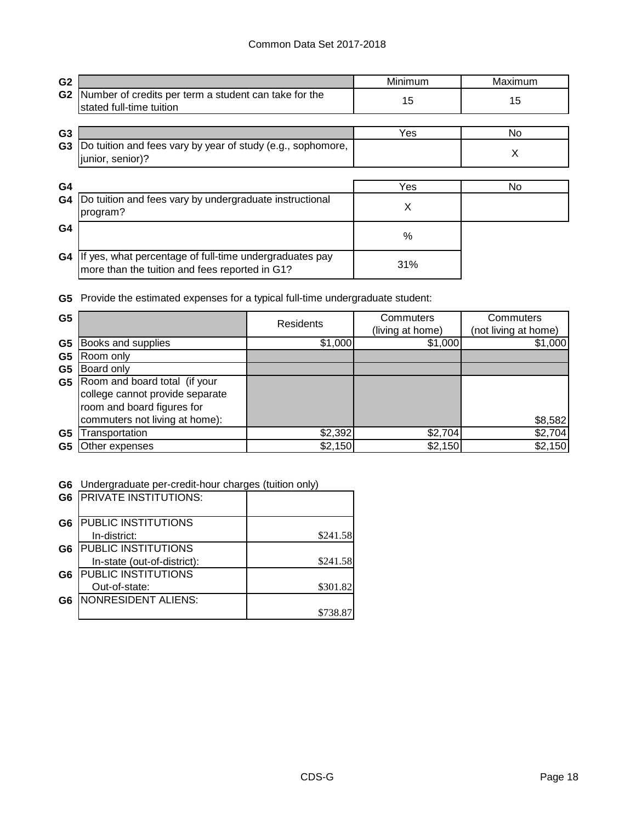| G <sub>2</sub> |                                                                                                           | Minimum | Maximum |
|----------------|-----------------------------------------------------------------------------------------------------------|---------|---------|
| G <sub>2</sub> | Number of credits per term a student can take for the<br>stated full-time tuition                         | 15      | 15      |
|                |                                                                                                           |         |         |
| G <sub>3</sub> |                                                                                                           | Yes     | No.     |
| G <sub>3</sub> | Do tuition and fees vary by year of study (e.g., sophomore,<br>junior, senior)?                           |         | X       |
|                |                                                                                                           |         |         |
| G4             |                                                                                                           | Yes     | No.     |
| G4             | Do tuition and fees vary by undergraduate instructional<br>program?                                       | Χ       |         |
| G <sub>4</sub> |                                                                                                           | %       |         |
| G4             | If yes, what percentage of full-time undergraduates pay<br>more than the tuition and fees reported in G1? | 31%     |         |

**G5** Provide the estimated expenses for a typical full-time undergraduate student:

| G <sub>5</sub> |                                                                                                | Residents | Commuters<br>(living at home) | Commuters<br>(not living at home) |
|----------------|------------------------------------------------------------------------------------------------|-----------|-------------------------------|-----------------------------------|
| G <sub>5</sub> | Books and supplies                                                                             | \$1,000   | \$1,000                       | \$1,000                           |
| G <sub>5</sub> | Room only                                                                                      |           |                               |                                   |
| G5             | Board only                                                                                     |           |                               |                                   |
| G5             | Room and board total (if your<br>college cannot provide separate<br>room and board figures for |           |                               |                                   |
|                | commuters not living at home):                                                                 |           |                               | \$8,582                           |
| G5             | Transportation                                                                                 | \$2,392   | \$2,704                       | \$2,704                           |
| G5             | Other expenses                                                                                 | \$2,150   | \$2,150                       | \$2,150                           |

**G6** Undergraduate per-credit-hour charges (tuition only)

| G <sub>6</sub> | <b>PRIVATE INSTITUTIONS:</b> |          |
|----------------|------------------------------|----------|
| G6             | <b>PUBLIC INSTITUTIONS</b>   |          |
|                | In-district:                 | \$241.58 |
| G6             | <b>PUBLIC INSTITUTIONS</b>   |          |
|                | In-state (out-of-district):  | \$241.58 |
| G6             | <b>PUBLIC INSTITUTIONS</b>   |          |
|                | Out-of-state:                | \$301.82 |
| G <sub>6</sub> | NONRESIDENT ALIENS:          |          |
|                |                              | \$738.87 |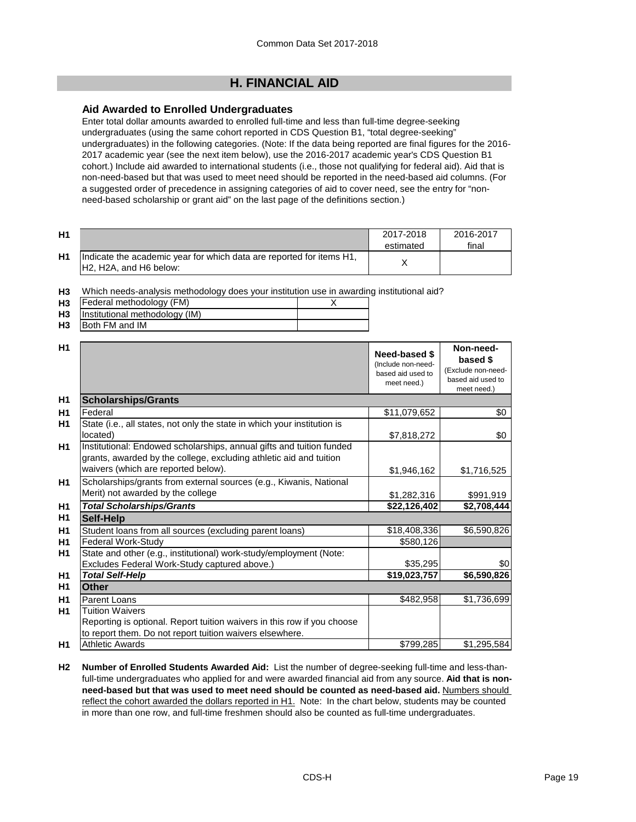# **H. FINANCIAL AID**

# **Aid Awarded to Enrolled Undergraduates**

Enter total dollar amounts awarded to enrolled full-time and less than full-time degree-seeking undergraduates (using the same cohort reported in CDS Question B1, "total degree-seeking" undergraduates) in the following categories. (Note: If the data being reported are final figures for the 2016- 2017 academic year (see the next item below), use the 2016-2017 academic year's CDS Question B1 cohort.) Include aid awarded to international students (i.e., those not qualifying for federal aid). Aid that is non-need-based but that was used to meet need should be reported in the need-based aid columns. (For a suggested order of precedence in assigning categories of aid to cover need, see the entry for "nonneed-based scholarship or grant aid" on the last page of the definitions section.)

| H1 |                                                                                                 | 2017-2018<br>estimated | 2016-2017<br>final |
|----|-------------------------------------------------------------------------------------------------|------------------------|--------------------|
| H1 | Indicate the academic year for which data are reported for items H1,<br>IH2. H2A, and H6 below: |                        |                    |

**H3** Which needs-analysis methodology does your institution use in awarding institutional aid?

| H <sub>3</sub> | Federal methodology (FM)            |  |
|----------------|-------------------------------------|--|
|                | H3   Institutional methodology (IM) |  |
| H <sub>3</sub> | Both FM and IM                      |  |

|              | (Include non-need-<br>based aid used to<br>meet need.)                                                                                                                                                                                                                                                                                                                                                                                                                                                                                                                                                                                                                                                                                                                                                                                                                        | based \$<br>(Exclude non-need-<br>based aid used to<br>meet need.) |
|--------------|-------------------------------------------------------------------------------------------------------------------------------------------------------------------------------------------------------------------------------------------------------------------------------------------------------------------------------------------------------------------------------------------------------------------------------------------------------------------------------------------------------------------------------------------------------------------------------------------------------------------------------------------------------------------------------------------------------------------------------------------------------------------------------------------------------------------------------------------------------------------------------|--------------------------------------------------------------------|
|              |                                                                                                                                                                                                                                                                                                                                                                                                                                                                                                                                                                                                                                                                                                                                                                                                                                                                               |                                                                    |
|              | \$11,079,652                                                                                                                                                                                                                                                                                                                                                                                                                                                                                                                                                                                                                                                                                                                                                                                                                                                                  | \$0                                                                |
|              | \$7,818,272                                                                                                                                                                                                                                                                                                                                                                                                                                                                                                                                                                                                                                                                                                                                                                                                                                                                   | \$0                                                                |
|              |                                                                                                                                                                                                                                                                                                                                                                                                                                                                                                                                                                                                                                                                                                                                                                                                                                                                               | \$1,716,525                                                        |
|              |                                                                                                                                                                                                                                                                                                                                                                                                                                                                                                                                                                                                                                                                                                                                                                                                                                                                               | \$991,919                                                          |
|              | \$22,126,402                                                                                                                                                                                                                                                                                                                                                                                                                                                                                                                                                                                                                                                                                                                                                                                                                                                                  | \$2,708,444                                                        |
|              |                                                                                                                                                                                                                                                                                                                                                                                                                                                                                                                                                                                                                                                                                                                                                                                                                                                                               |                                                                    |
|              | \$18,408,336                                                                                                                                                                                                                                                                                                                                                                                                                                                                                                                                                                                                                                                                                                                                                                                                                                                                  | \$6,590,826                                                        |
|              | \$580,126                                                                                                                                                                                                                                                                                                                                                                                                                                                                                                                                                                                                                                                                                                                                                                                                                                                                     |                                                                    |
|              |                                                                                                                                                                                                                                                                                                                                                                                                                                                                                                                                                                                                                                                                                                                                                                                                                                                                               |                                                                    |
|              | \$35,295                                                                                                                                                                                                                                                                                                                                                                                                                                                                                                                                                                                                                                                                                                                                                                                                                                                                      | \$0                                                                |
|              |                                                                                                                                                                                                                                                                                                                                                                                                                                                                                                                                                                                                                                                                                                                                                                                                                                                                               | \$6,590,826                                                        |
|              |                                                                                                                                                                                                                                                                                                                                                                                                                                                                                                                                                                                                                                                                                                                                                                                                                                                                               |                                                                    |
|              | \$482,958                                                                                                                                                                                                                                                                                                                                                                                                                                                                                                                                                                                                                                                                                                                                                                                                                                                                     | \$1,736,699                                                        |
|              |                                                                                                                                                                                                                                                                                                                                                                                                                                                                                                                                                                                                                                                                                                                                                                                                                                                                               |                                                                    |
|              |                                                                                                                                                                                                                                                                                                                                                                                                                                                                                                                                                                                                                                                                                                                                                                                                                                                                               |                                                                    |
|              |                                                                                                                                                                                                                                                                                                                                                                                                                                                                                                                                                                                                                                                                                                                                                                                                                                                                               | \$1,295,584                                                        |
| Parent Loans | <b>Scholarships/Grants</b><br>State (i.e., all states, not only the state in which your institution is<br>Institutional: Endowed scholarships, annual gifts and tuition funded<br>grants, awarded by the college, excluding athletic aid and tuition<br>waivers (which are reported below).<br>Scholarships/grants from external sources (e.g., Kiwanis, National<br>Merit) not awarded by the college<br><b>Total Scholarships/Grants</b><br>Student loans from all sources (excluding parent loans)<br><b>Federal Work-Study</b><br>State and other (e.g., institutional) work-study/employment (Note:<br>Excludes Federal Work-Study captured above.)<br><b>Total Self-Help</b><br><b>Tuition Waivers</b><br>Reporting is optional. Report tuition waivers in this row if you choose<br>to report them. Do not report tuition waivers elsewhere.<br><b>Athletic Awards</b> | \$1,946,162<br>\$1,282,316<br>\$19,023,757<br>\$799,285            |

**H2 Number of Enrolled Students Awarded Aid:** List the number of degree-seeking full-time and less-thanfull-time undergraduates who applied for and were awarded financial aid from any source. **Aid that is nonneed-based but that was used to meet need should be counted as need-based aid.** Numbers should reflect the cohort awarded the dollars reported in H1. Note: In the chart below, students may be counted in more than one row, and full-time freshmen should also be counted as full-time undergraduates.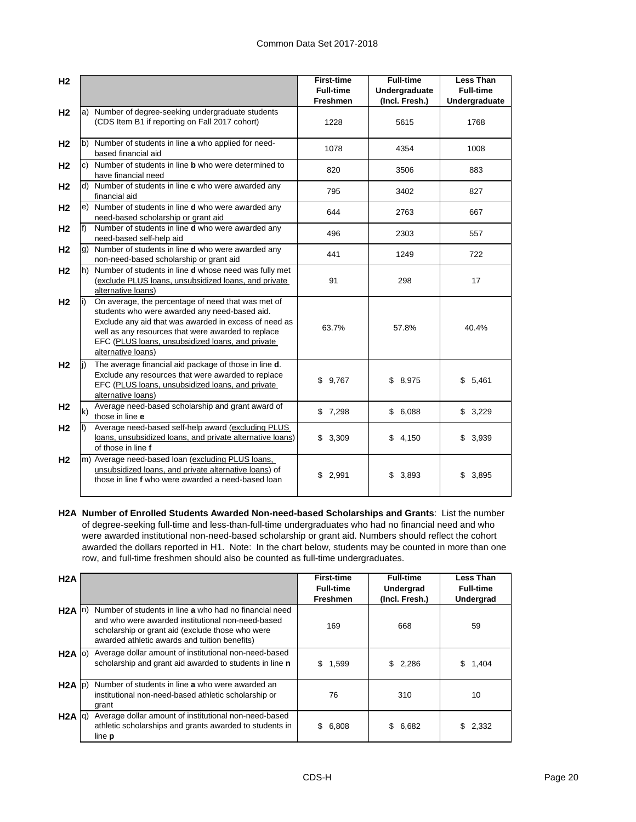| H <sub>2</sub> |                   |                                                                                                                                                                                                                                                                                              | <b>First-time</b><br><b>Full-time</b><br>Freshmen | <b>Full-time</b><br>Undergraduate<br>(Incl. Fresh.) | <b>Less Than</b><br><b>Full-time</b><br>Undergraduate |
|----------------|-------------------|----------------------------------------------------------------------------------------------------------------------------------------------------------------------------------------------------------------------------------------------------------------------------------------------|---------------------------------------------------|-----------------------------------------------------|-------------------------------------------------------|
| H <sub>2</sub> |                   | a) Number of degree-seeking undergraduate students<br>(CDS Item B1 if reporting on Fall 2017 cohort)                                                                                                                                                                                         | 1228                                              | 5615                                                | 1768                                                  |
| H <sub>2</sub> |                   | b) Number of students in line a who applied for need-<br>based financial aid                                                                                                                                                                                                                 | 1078                                              | 4354                                                | 1008                                                  |
| H <sub>2</sub> |                   | c) Number of students in line <b>b</b> who were determined to<br>have financial need                                                                                                                                                                                                         | 820                                               | 3506                                                | 883                                                   |
| H <sub>2</sub> |                   | d) Number of students in line c who were awarded any<br>financial aid                                                                                                                                                                                                                        | 795                                               | 3402                                                | 827                                                   |
| H <sub>2</sub> |                   | e) Number of students in line <b>d</b> who were awarded any<br>need-based scholarship or grant aid                                                                                                                                                                                           | 644                                               | 2763                                                | 667                                                   |
| H <sub>2</sub> | f)                | Number of students in line <b>d</b> who were awarded any<br>need-based self-help aid                                                                                                                                                                                                         | 496                                               | 2303                                                | 557                                                   |
| H <sub>2</sub> |                   | g) Number of students in line <b>d</b> who were awarded any<br>non-need-based scholarship or grant aid                                                                                                                                                                                       | 441                                               | 1249                                                | 722                                                   |
| H <sub>2</sub> |                   | h) Number of students in line <b>d</b> whose need was fully met<br>(exclude PLUS loans, unsubsidized loans, and private<br>alternative loans)                                                                                                                                                | 91                                                | 298                                                 | 17                                                    |
| H <sub>2</sub> | $\vert i \rangle$ | On average, the percentage of need that was met of<br>students who were awarded any need-based aid.<br>Exclude any aid that was awarded in excess of need as<br>well as any resources that were awarded to replace<br>EFC (PLUS loans, unsubsidized loans, and private<br>alternative loans) | 63.7%                                             | 57.8%                                               | 40.4%                                                 |
| H <sub>2</sub> |                   | The average financial aid package of those in line d.<br>Exclude any resources that were awarded to replace<br>EFC (PLUS loans, unsubsidized loans, and private<br>alternative loans)                                                                                                        | \$9,767                                           | \$8,975                                             | \$5,461                                               |
| H <sub>2</sub> | $\mathsf{k}$      | Average need-based scholarship and grant award of<br>those in line e                                                                                                                                                                                                                         | \$7,298                                           | \$6,088                                             | \$3,229                                               |
| H <sub>2</sub> | II)               | Average need-based self-help award (excluding PLUS<br>loans, unsubsidized loans, and private alternative loans)<br>of those in line f                                                                                                                                                        | \$3,309                                           | \$4,150                                             | \$3,939                                               |
| H <sub>2</sub> |                   | m) Average need-based loan (excluding PLUS loans,<br>unsubsidized loans, and private alternative loans) of<br>those in line f who were awarded a need-based loan                                                                                                                             | 2,991<br>\$                                       | 3,893<br>\$                                         | 3,895<br>\$                                           |

**H2A Number of Enrolled Students Awarded Non-need-based Scholarships and Grants**: List the number of degree-seeking full-time and less-than-full-time undergraduates who had no financial need and who were awarded institutional non-need-based scholarship or grant aid. Numbers should reflect the cohort awarded the dollars reported in H1. Note: In the chart below, students may be counted in more than one row, and full-time freshmen should also be counted as full-time undergraduates.

| H2A               |                                                                                                                                                                                                                  | <b>First-time</b><br><b>Full-time</b><br><b>Freshmen</b> | <b>Full-time</b><br>Undergrad<br>(Incl. Fresh.) | <b>Less Than</b><br><b>Full-time</b><br>Undergrad |
|-------------------|------------------------------------------------------------------------------------------------------------------------------------------------------------------------------------------------------------------|----------------------------------------------------------|-------------------------------------------------|---------------------------------------------------|
| $H2A \ln b$       | Number of students in line a who had no financial need<br>and who were awarded institutional non-need-based<br>scholarship or grant aid (exclude those who were<br>awarded athletic awards and tuition benefits) | 169                                                      | 668                                             | 59                                                |
| $H2A$ (o)         | Average dollar amount of institutional non-need-based<br>scholarship and grant aid awarded to students in line n                                                                                                 | \$<br>1,599                                              | \$2,286                                         | S<br>1,404                                        |
| $H2A$ $ p\rangle$ | Number of students in line a who were awarded an<br>institutional non-need-based athletic scholarship or<br>grant                                                                                                | 76                                                       | 310                                             | 10                                                |
| $H2A$ $q$         | Average dollar amount of institutional non-need-based<br>athletic scholarships and grants awarded to students in<br>line <b>p</b>                                                                                | \$<br>6,808                                              | 6,682<br>\$                                     | 2,332                                             |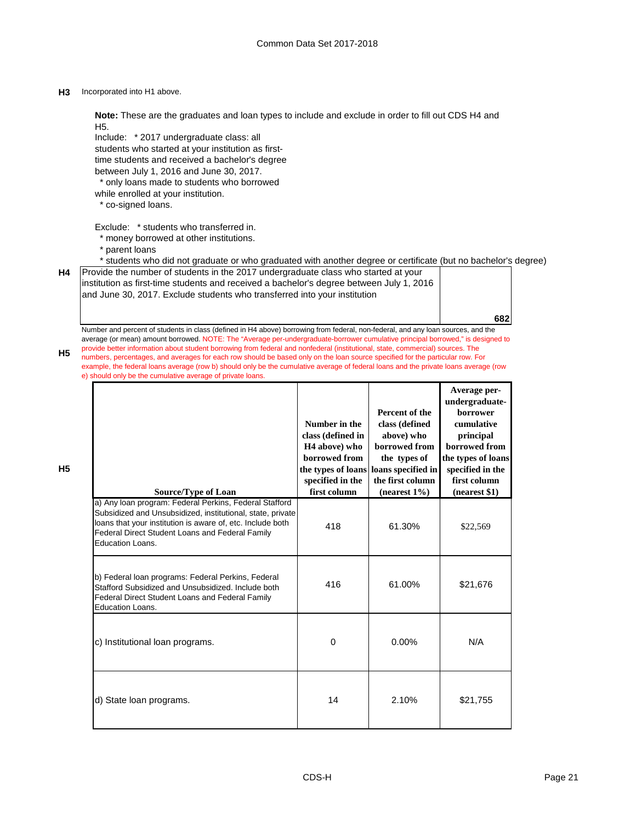### **H3** Incorporated into H1 above.

**Note:** These are the graduates and loan types to include and exclude in order to fill out CDS H4 and H5.

Include: \* 2017 undergraduate class: all students who started at your institution as firsttime students and received a bachelor's degree between July 1, 2016 and June 30, 2017.

\* only loans made to students who borrowed

- while enrolled at your institution.
- \* co-signed loans.

Exclude: \* students who transferred in.

- \* money borrowed at other institutions.
- \* parent loans

\* students who did not graduate or who graduated with another degree or certificate (but no bachelor's degree)

| H4 Provide the number of students in the 2017 undergraduate class who started at your     |
|-------------------------------------------------------------------------------------------|
| linstitution as first-time students and received a bachelor's degree between July 1, 2016 |
| and June 30, 2017. Exclude students who transferred into your institution                 |

Number and percent of students in class (defined in H4 above) borrowing from federal, non-federal, and any loan sources, and the average (or mean) amount borrowed. NOTE: The "Average per-undergraduate-borrower cumulative principal borrowed," is designed to provide better information about student borrowing from federal and nonfederal (institutional, state, commercial) sources. The numbers, percentages, and averages for each row should be based only on the loan source specified for the particular row. For example, the federal loans average (row b) should only be the cumulative average of federal loans and the private loans average (row e) should only be the cumulative average of private loans.

| <b>Source/Type of Loan</b>                                                                                                                                                                                                                                | Number in the<br>class (defined in<br>H <sub>4</sub> above) who<br><b>borrowed</b> from<br>specified in the<br>first column | Percent of the<br>class (defined<br>above) who<br>borrowed from<br>the types of<br>the types of loans loans specified in<br>the first column<br>$(nearest 1\%)$ | Average per-<br>undergraduate-<br>borrower<br>cumulative<br>principal<br>borrowed from<br>the types of loans<br>specified in the<br>first column<br>(nearest \$1) |
|-----------------------------------------------------------------------------------------------------------------------------------------------------------------------------------------------------------------------------------------------------------|-----------------------------------------------------------------------------------------------------------------------------|-----------------------------------------------------------------------------------------------------------------------------------------------------------------|-------------------------------------------------------------------------------------------------------------------------------------------------------------------|
| a) Any loan program: Federal Perkins, Federal Stafford<br>Subsidized and Unsubsidized, institutional, state, private<br>loans that your institution is aware of, etc. Include both<br>Federal Direct Student Loans and Federal Family<br>Education Loans. | 418                                                                                                                         | 61.30%                                                                                                                                                          | \$22,569                                                                                                                                                          |
| b) Federal loan programs: Federal Perkins, Federal<br>Stafford Subsidized and Unsubsidized. Include both<br>Federal Direct Student Loans and Federal Family<br>Education Loans.                                                                           | 416                                                                                                                         | 61.00%                                                                                                                                                          | \$21,676                                                                                                                                                          |
| c) Institutional loan programs.                                                                                                                                                                                                                           | $\Omega$                                                                                                                    | $0.00\%$                                                                                                                                                        | N/A                                                                                                                                                               |
| d) State loan programs.                                                                                                                                                                                                                                   | 14                                                                                                                          | 2.10%                                                                                                                                                           | \$21,755                                                                                                                                                          |

**H5**

**682**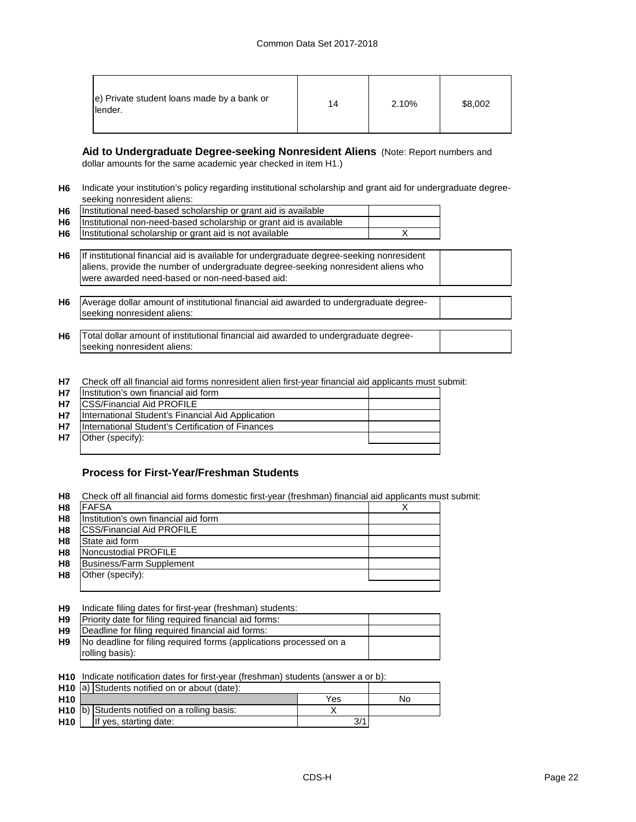| e) Private student loans made by a bank or<br>lender. | 14 | 2.10% | \$8,002 |
|-------------------------------------------------------|----|-------|---------|
|-------------------------------------------------------|----|-------|---------|

**Aid to Undergraduate Degree-seeking Nonresident Aliens** (Note: Report numbers and dollar amounts for the same academic year checked in item H1.)

**H6** Indicate your institution's policy regarding institutional scholarship and grant aid for undergraduate degreeseeking nonresident aliens:

| <b>H6</b> | Institutional need-based scholarship or grant aid is available          |  |
|-----------|-------------------------------------------------------------------------|--|
|           | H6   Institutional non-need-based scholarship or grant aid is available |  |
| H6        | Institutional scholarship or grant aid is not available                 |  |

**H6** If institutional financial aid is available for undergraduate degree-seeking nonresident aliens, provide the number of undergraduate degree-seeking nonresident aliens who were awarded need-based or non-need-based aid:

**H6** Average dollar amount of institutional financial aid awarded to undergraduate degreeseeking nonresident aliens:

**H6** Total dollar amount of institutional financial aid awarded to undergraduate degreeseeking nonresident aliens:

**H7** Check off all financial aid forms nonresident alien first-year financial aid applicants must submit:

| <b>H7</b> | Institution's own financial aid form              |  |
|-----------|---------------------------------------------------|--|
| <b>H7</b> | <b>ICSS/Financial Aid PROFILE</b>                 |  |
| <b>H7</b> | International Student's Financial Aid Application |  |
| <b>H7</b> | International Student's Certification of Finances |  |
| <b>H7</b> | Other (specify):                                  |  |
|           |                                                   |  |

# **Process for First-Year/Freshman Students**

**H8** Check off all financial aid forms domestic first-year (freshman) financial aid applicants must submit:

| H <sub>8</sub> | <b>FAFSA</b>                         |  |
|----------------|--------------------------------------|--|
| H <sub>8</sub> | Institution's own financial aid form |  |
| H <sub>8</sub> | <b>CSS/Financial Aid PROFILE</b>     |  |
| H <sub>8</sub> | State aid form                       |  |
| H <sub>8</sub> | Noncustodial PROFILE                 |  |
| H <sub>8</sub> | Business/Farm Supplement             |  |
| H <sub>8</sub> | Other (specify):                     |  |
|                |                                      |  |

**H9** Indicate filing dates for first-year (freshman) students:

| <b>H9</b>      | Priority date for filing required financial aid forms:             |  |
|----------------|--------------------------------------------------------------------|--|
| H <sub>9</sub> | Deadline for filing required financial aid forms:                  |  |
| H9             | No deadline for filing required forms (applications processed on a |  |
|                | rolling basis):                                                    |  |
|                |                                                                    |  |

**H10** Indicate notification dates for first-year (freshman) students (answer a or b):

|                 | H <sub>10</sub> a) Students notified on or about (date): |     |    |
|-----------------|----------------------------------------------------------|-----|----|
| H <sub>10</sub> |                                                          | Yes | No |
|                 | H <sub>10</sub> b) Students notified on a rolling basis: |     |    |
| H <sub>10</sub> | If yes, starting date:                                   | 3/1 |    |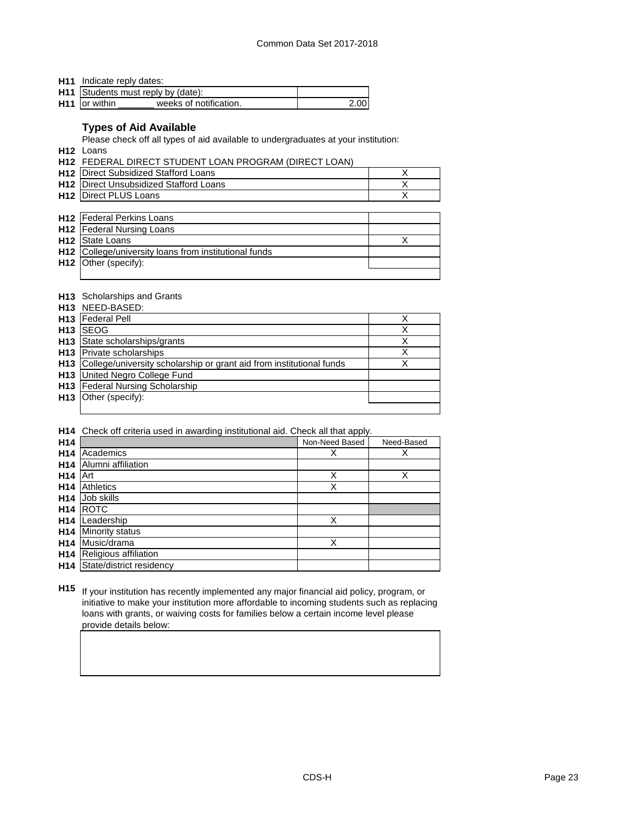**H11** Indicate reply dates:

|                           | H11 Students must reply by (date): |      |
|---------------------------|------------------------------------|------|
| H <sub>11</sub> or within | weeks of notification.             | 2.00 |

# **Types of Aid Available**

Please check off all types of aid available to undergraduates at your institution:

**H12** Loans

**H12** FEDERAL DIRECT STUDENT LOAN PROGRAM (DIRECT LOAN)

| <b>H12</b> Direct Subsidized Stafford Loans   |  |
|-----------------------------------------------|--|
| <b>H12</b> Direct Unsubsidized Stafford Loans |  |
| <b>H12 Direct PLUS Loans</b>                  |  |

| <b>H12</b> Federal Perkins Loans                      |  |
|-------------------------------------------------------|--|
| <b>H12</b> Federal Nursing Loans                      |  |
| <b>H12</b> State Loans                                |  |
| H12 College/university loans from institutional funds |  |
| H12 Other (specify):                                  |  |
|                                                       |  |

# **H13** Scholarships and Grants

|                 | <b>H13</b> NEED-BASED:                                                   |   |
|-----------------|--------------------------------------------------------------------------|---|
|                 | H <sub>13</sub> Federal Pell                                             | X |
| H <sub>13</sub> | <b>ISEOG</b>                                                             | X |
|                 | H <sub>13</sub> State scholarships/grants                                | X |
|                 | <b>H13</b> Private scholarships                                          | X |
|                 | H13 College/university scholarship or grant aid from institutional funds | Χ |
|                 | <b>H13</b> United Negro College Fund                                     |   |
|                 | H13 Federal Nursing Scholarship                                          |   |
|                 | <b>H13</b> Other (specify):                                              |   |
|                 |                                                                          |   |

**H14** Check off criteria used in awarding institutional aid. Check all that apply.

| H <sub>14</sub> |                          | Non-Need Based | Need-Based |
|-----------------|--------------------------|----------------|------------|
| H <sub>14</sub> | Academics                | Х              | Х          |
| H <sub>14</sub> | Alumni affiliation       |                |            |
| H <sub>14</sub> | Art                      | Χ              | Χ          |
| H <sub>14</sub> | <b>Athletics</b>         | Χ              |            |
| H <sub>14</sub> | Job skills               |                |            |
| H <sub>14</sub> | <b>ROTC</b>              |                |            |
| H <sub>14</sub> | Leadership               | Χ              |            |
| H <sub>14</sub> | Minority status          |                |            |
| H <sub>14</sub> | Music/drama              | Χ              |            |
| H <sub>14</sub> | Religious affiliation    |                |            |
| H <sub>14</sub> | State/district residency |                |            |

**H15** If your institution has recently implemented any major financial aid policy, program, or initiative to make your institution more affordable to incoming students such as replacing loans with grants, or waiving costs for families below a certain income level please provide details below: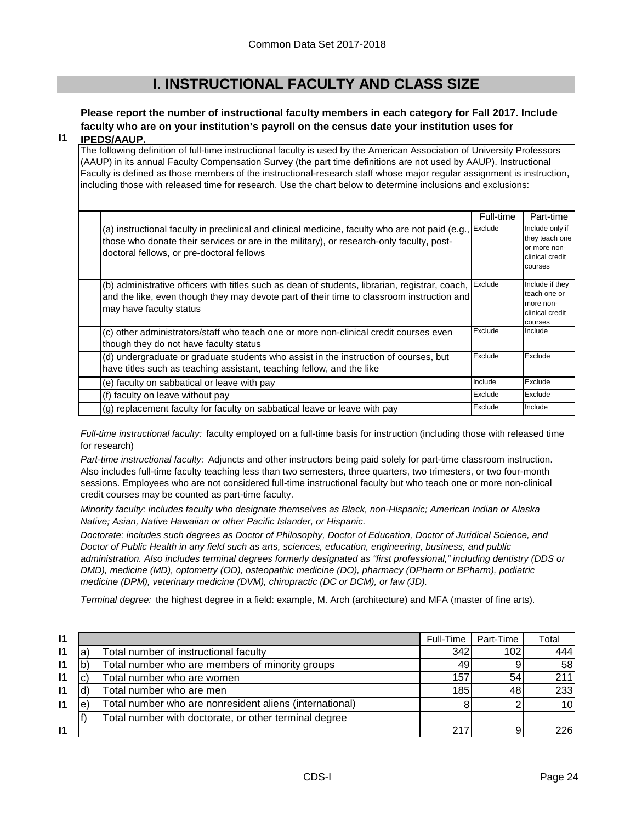# **I. INSTRUCTIONAL FACULTY AND CLASS SIZE**

# **Please report the number of instructional faculty members in each category for Fall 2017. Include faculty who are on your institution's payroll on the census date your institution uses for**

#### **I1 IPEDS/AAUP.**

The following definition of full-time instructional faculty is used by the American Association of University Professors (AAUP) in its annual Faculty Compensation Survey (the part time definitions are not used by AAUP). Instructional Faculty is defined as those members of the instructional-research staff whose major regular assignment is instruction, including those with released time for research. Use the chart below to determine inclusions and exclusions:

|                                                                                                                                                                                                                                          | Full-time | Part-time                                                                       |
|------------------------------------------------------------------------------------------------------------------------------------------------------------------------------------------------------------------------------------------|-----------|---------------------------------------------------------------------------------|
| (a) instructional faculty in preclinical and clinical medicine, faculty who are not paid (e.g.,<br>those who donate their services or are in the military), or research-only faculty, post-<br>doctoral fellows, or pre-doctoral fellows | Exclude   | Include only if<br>they teach one<br>or more non-<br>clinical credit<br>courses |
| (b) administrative officers with titles such as dean of students, librarian, registrar, coach,<br>and the like, even though they may devote part of their time to classroom instruction and<br>may have faculty status                   | Exclude   | Include if they<br>teach one or<br>more non-<br>clinical credit<br>courses      |
| (c) other administrators/staff who teach one or more non-clinical credit courses even<br>though they do not have faculty status                                                                                                          | Exclude   | Include                                                                         |
| (d) undergraduate or graduate students who assist in the instruction of courses, but<br>have titles such as teaching assistant, teaching fellow, and the like                                                                            | Exclude   | Exclude                                                                         |
| (e) faculty on sabbatical or leave with pay                                                                                                                                                                                              | Include   | Exclude                                                                         |
| (f) faculty on leave without pay                                                                                                                                                                                                         | Exclude   | Exclude                                                                         |
| (g) replacement faculty for faculty on sabbatical leave or leave with pay                                                                                                                                                                | Exclude   | Include                                                                         |

*Full-time instructional faculty:* faculty employed on a full-time basis for instruction (including those with released time for research)

*Part-time instructional faculty:* Adjuncts and other instructors being paid solely for part-time classroom instruction. Also includes full-time faculty teaching less than two semesters, three quarters, two trimesters, or two four-month sessions. Employees who are not considered full-time instructional faculty but who teach one or more non-clinical credit courses may be counted as part-time faculty.

*Minority faculty: includes faculty who designate themselves as Black, non-Hispanic; American Indian or Alaska Native; Asian, Native Hawaiian or other Pacific Islander, or Hispanic.* 

*Doctorate: includes such degrees as Doctor of Philosophy, Doctor of Education, Doctor of Juridical Science, and Doctor of Public Health in any field such as arts, sciences, education, engineering, business, and public administration. Also includes terminal degrees formerly designated as "first professional," including dentistry (DDS or DMD), medicine (MD), optometry (OD), osteopathic medicine (DO), pharmacy (DPharm or BPharm), podiatric medicine (DPM), veterinary medicine (DVM), chiropractic (DC or DCM), or law (JD).*

*Terminal degree:* the highest degree in a field: example, M. Arch (architecture) and MFA (master of fine arts).

| $\mathsf{I}$ |                                                         | Full-Time | Part-Time | Total           |
|--------------|---------------------------------------------------------|-----------|-----------|-----------------|
| $\mathsf{I}$ | Total number of instructional faculty                   | 342       | 102       | 444             |
| $\mathbf{I}$ | Total number who are members of minority groups         | -49       |           | 58 <sub>l</sub> |
| $\mathbf{I}$ | Total number who are women                              | 157       | 54        | 211             |
| $\mathbf{I}$ | Total number who are men                                | 185       | 48        | 233             |
| $\mathsf{I}$ | Total number who are nonresident aliens (international) |           |           | 10 <sub>1</sub> |
|              | Total number with doctorate, or other terminal degree   |           |           |                 |
| $\mathsf{I}$ |                                                         | 217       | 9         | 226 l           |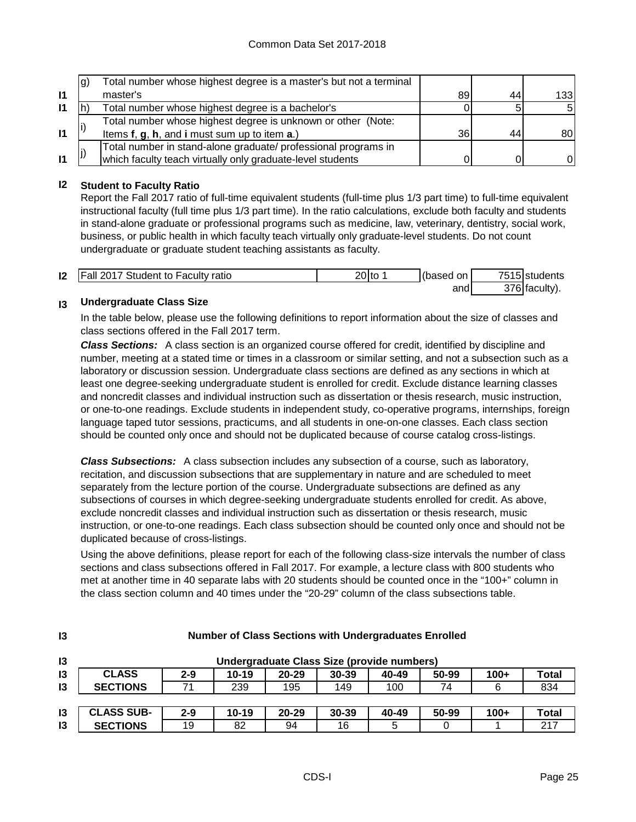|              | g) | Total number whose highest degree is a master's but not a terminal |    |    |                  |
|--------------|----|--------------------------------------------------------------------|----|----|------------------|
| $\mathbf{I}$ |    | master's                                                           | 89 | 44 | 133 <sup>1</sup> |
| $\mathsf{I}$ |    | Total number whose highest degree is a bachelor's                  |    |    | 51               |
|              |    | Total number whose highest degree is unknown or other (Note:       |    |    |                  |
| $\mathbf{I}$ |    | Items f, g, h, and i must sum up to item a.)                       | 36 | 44 | 80 I             |
|              |    | Total number in stand-alone graduate/ professional programs in     |    |    |                  |
| $\mathbf{I}$ |    | which faculty teach virtually only graduate-level students         |    |    | ΟI               |

# **I2 Student to Faculty Ratio**

Report the Fall 2017 ratio of full-time equivalent students (full-time plus 1/3 part time) to full-time equivalent instructional faculty (full time plus 1/3 part time). In the ratio calculations, exclude both faculty and students in stand-alone graduate or professional programs such as medicine, law, veterinary, dentistry, social work, business, or public health in which faculty teach virtually only graduate-level students. Do not count undergraduate or graduate student teaching assistants as faculty.

| 12 | <b>Fall 2017 Student to Faculty ratio</b> | $20$ to | (based on | 7515 students |
|----|-------------------------------------------|---------|-----------|---------------|
|    |                                           |         | and       | 376 faculty). |

#### **I3 Undergraduate Class Size**

**I3**

In the table below, please use the following definitions to report information about the size of classes and class sections offered in the Fall 2017 term.

*Class Sections:* A class section is an organized course offered for credit, identified by discipline and number, meeting at a stated time or times in a classroom or similar setting, and not a subsection such as a laboratory or discussion session. Undergraduate class sections are defined as any sections in which at least one degree-seeking undergraduate student is enrolled for credit. Exclude distance learning classes and noncredit classes and individual instruction such as dissertation or thesis research, music instruction, or one-to-one readings. Exclude students in independent study, co-operative programs, internships, foreign language taped tutor sessions, practicums, and all students in one-on-one classes. Each class section should be counted only once and should not be duplicated because of course catalog cross-listings.

*Class Subsections:* A class subsection includes any subsection of a course, such as laboratory, recitation, and discussion subsections that are supplementary in nature and are scheduled to meet separately from the lecture portion of the course. Undergraduate subsections are defined as any subsections of courses in which degree-seeking undergraduate students enrolled for credit. As above, exclude noncredit classes and individual instruction such as dissertation or thesis research, music instruction, or one-to-one readings. Each class subsection should be counted only once and should not be duplicated because of cross-listings.

Using the above definitions, please report for each of the following class-size intervals the number of class sections and class subsections offered in Fall 2017. For example, a lecture class with 800 students who met at another time in 40 separate labs with 20 students should be counted once in the "100+" column in the class section column and 40 times under the "20-29" column of the class subsections table.

| 13            | Undergraduate Class Size (provide numbers) |         |           |           |           |       |       |        |       |
|---------------|--------------------------------------------|---------|-----------|-----------|-----------|-------|-------|--------|-------|
| 13            | <b>CLASS</b>                               | $2 - 9$ | $10 - 19$ | $20 - 29$ | $30 - 39$ | 40-49 | 50-99 | $100+$ | Total |
| 13            | <b>SECTIONS</b>                            |         | 239       | 195       | 149       | 100   | 74    |        | 834   |
|               |                                            |         |           |           |           |       |       |        |       |
| 13            | <b>CLASS SUB-</b>                          | $2 - 9$ | $10 - 19$ | $20 - 29$ | 30-39     | 40-49 | 50-99 | $100+$ | Total |
| $\mathsf{I}3$ | <b>SECTIONS</b>                            | 19      | 82        | 94        | 16        | 5     |       |        | 217   |

# **Number of Class Sections with Undergraduates Enrolled**